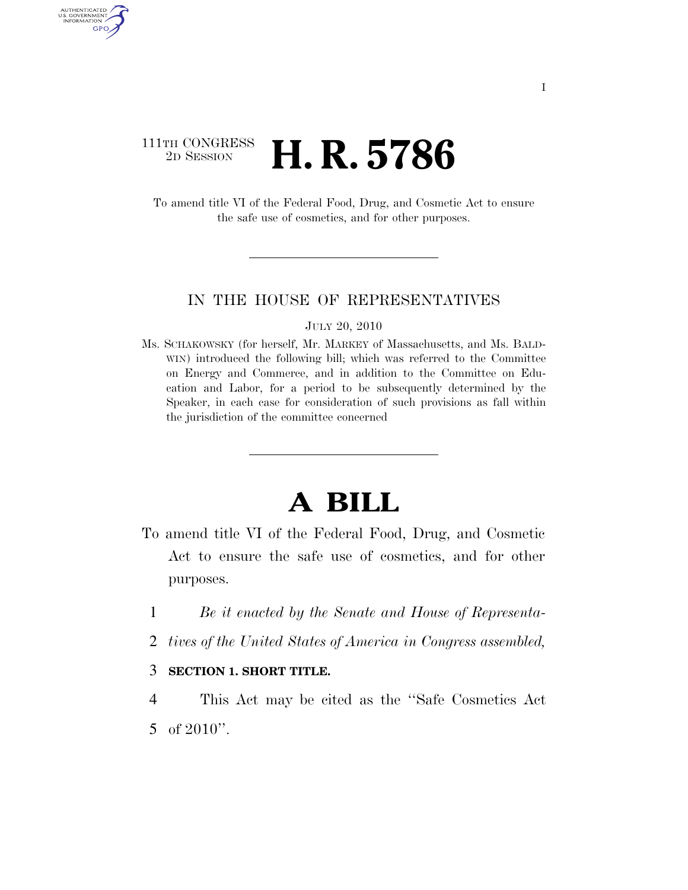### 111TH CONGRESS<br>2D SESSION 2D SESSION **H. R. 5786**

AUTHENTICATED U.S. GOVERNMENT GPO

> To amend title VI of the Federal Food, Drug, and Cosmetic Act to ensure the safe use of cosmetics, and for other purposes.

#### IN THE HOUSE OF REPRESENTATIVES

#### JULY 20, 2010

Ms. SCHAKOWSKY (for herself, Mr. MARKEY of Massachusetts, and Ms. BALD-WIN) introduced the following bill; which was referred to the Committee on Energy and Commerce, and in addition to the Committee on Education and Labor, for a period to be subsequently determined by the Speaker, in each case for consideration of such provisions as fall within the jurisdiction of the committee concerned

# **A BILL**

- To amend title VI of the Federal Food, Drug, and Cosmetic Act to ensure the safe use of cosmetics, and for other purposes.
	- 1 *Be it enacted by the Senate and House of Representa-*
	- 2 *tives of the United States of America in Congress assembled,*
	- 3 **SECTION 1. SHORT TITLE.**
	- 4 This Act may be cited as the ''Safe Cosmetics Act 5 of 2010''.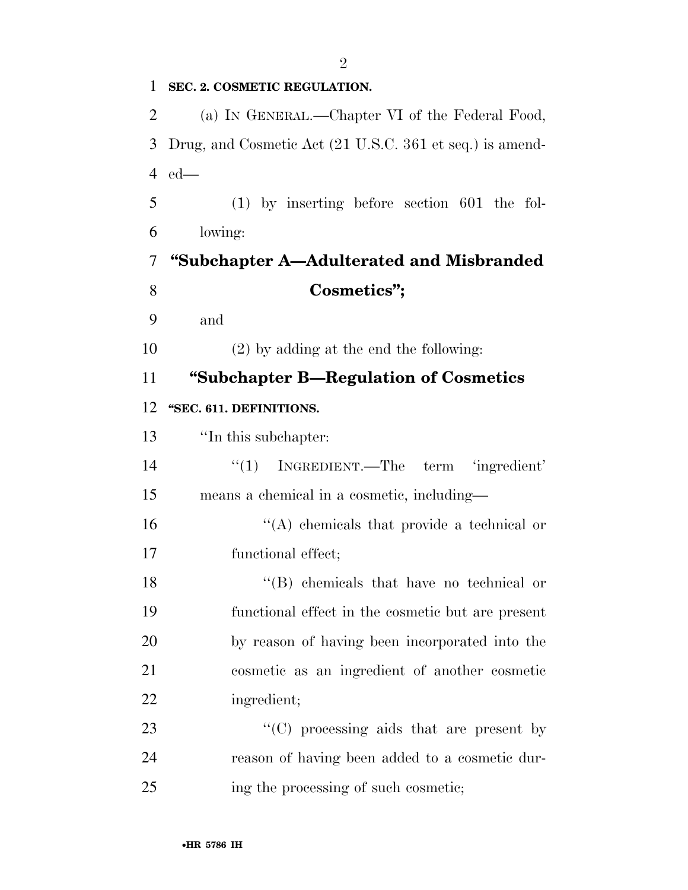**SEC. 2. COSMETIC REGULATION.**  (a) IN GENERAL.—Chapter VI of the Federal Food, Drug, and Cosmetic Act (21 U.S.C. 361 et seq.) is amend- ed— (1) by inserting before section 601 the fol- lowing: **''Subchapter A—Adulterated and Misbranded Cosmetics'';**  and (2) by adding at the end the following: **''Subchapter B—Regulation of Cosmetics ''SEC. 611. DEFINITIONS.**  ''In this subchapter: 14 "(1) INGREDIENT.—The term 'ingredient' means a chemical in a cosmetic, including— ''(A) chemicals that provide a technical or functional effect; ''(B) chemicals that have no technical or functional effect in the cosmetic but are present by reason of having been incorporated into the cosmetic as an ingredient of another cosmetic ingredient; 23 "'(C) processing aids that are present by reason of having been added to a cosmetic dur-ing the processing of such cosmetic;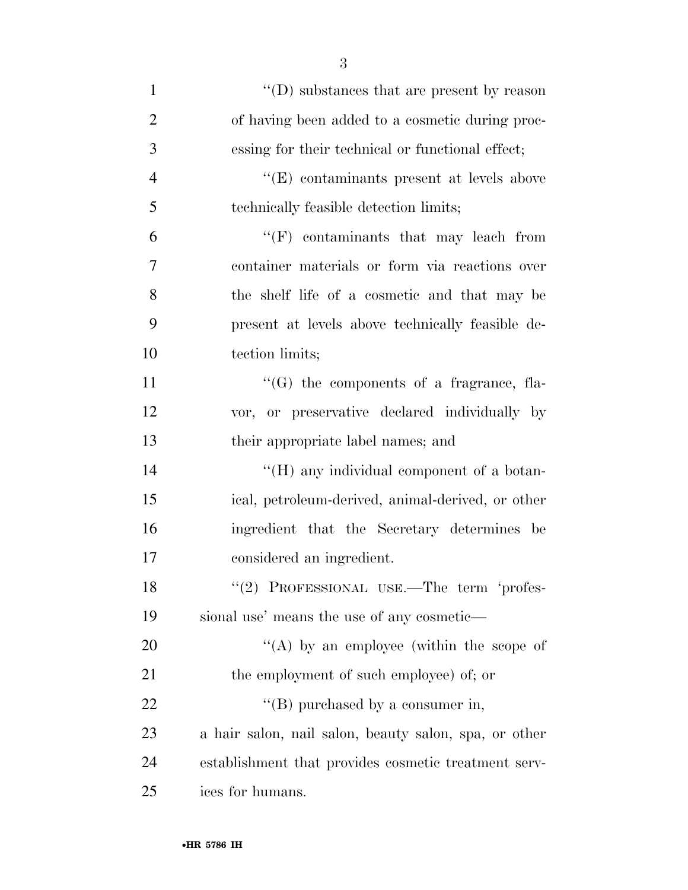| $\mathbf{1}$   | $\lq\lq$ ) substances that are present by reason      |
|----------------|-------------------------------------------------------|
| $\overline{2}$ | of having been added to a cosmetic during proc-       |
| 3              | essing for their technical or functional effect;      |
| $\overline{4}$ | "(E) contaminants present at levels above             |
| 5              | technically feasible detection limits;                |
| 6              | $\lq\lq(F)$ contaminants that may leach from          |
| 7              | container materials or form via reactions over        |
| 8              | the shelf life of a cosmetic and that may be          |
| 9              | present at levels above technically feasible de-      |
| 10             | tection limits;                                       |
| 11             | $\lq\lq(G)$ the components of a fragrance, fla-       |
| 12             | vor, or preservative declared individually by         |
| 13             | their appropriate label names; and                    |
| 14             | "(H) any individual component of a botan-             |
| 15             | ical, petroleum-derived, animal-derived, or other     |
| 16             | ingredient that the Secretary determines be           |
| 17             | considered an ingredient.                             |
| 18             | "(2) PROFESSIONAL USE.—The term 'profes-              |
| 19             | sional use' means the use of any cosmetic—            |
| <b>20</b>      | "(A) by an employee (within the scope of              |
| 21             | the employment of such employee) of; or               |
| 22             | $\lq\lq$ (B) purchased by a consumer in,              |
| 23             | a hair salon, nail salon, beauty salon, spa, or other |
| 24             | establishment that provides cosmetic treatment serv-  |
| 25             | ices for humans.                                      |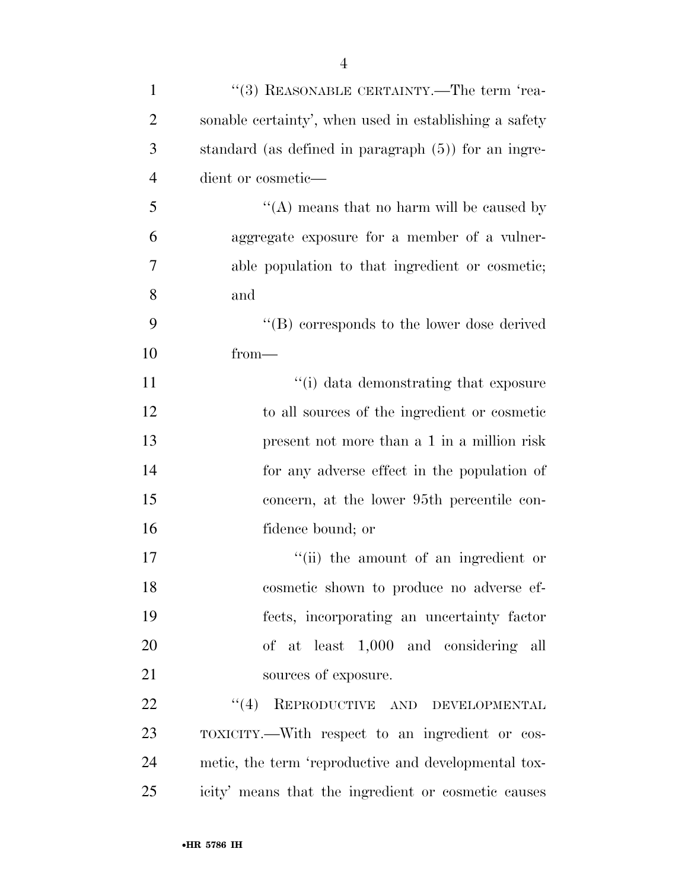| $\mathbf{1}$   | $``(3)$ REASONABLE CERTAINTY.—The term 'rea-            |
|----------------|---------------------------------------------------------|
| $\overline{2}$ | sonable certainty', when used in establishing a safety  |
| 3              | standard (as defined in paragraph $(5)$ ) for an ingre- |
| $\overline{4}$ | dient or cosmetic—                                      |
| 5              | "(A) means that no harm will be caused by               |
| 6              | aggregate exposure for a member of a vulner-            |
| 7              | able population to that ingredient or cosmetic;         |
| 8              | and                                                     |
| 9              | "(B) corresponds to the lower dose derived              |
| 10             | $from-$                                                 |
| 11             | "(i) data demonstrating that exposure                   |
| 12             | to all sources of the ingredient or cosmetic            |
| 13             | present not more than a 1 in a million risk             |
| 14             | for any adverse effect in the population of             |
| 15             | concern, at the lower 95th percentile con-              |
| 16             | fidence bound; or                                       |
| 17             | "(ii) the amount of an ingredient or                    |
| 18             | cosmetic shown to produce no adverse ef-                |
| 19             | fects, incorporating an uncertainty factor              |
| 20             | of at least 1,000 and considering all                   |
| 21             | sources of exposure.                                    |
| 22             | (4)<br>REPRODUCTIVE AND DEVELOPMENTAL                   |
| 23             | TOXICITY.—With respect to an ingredient or cos-         |
| 24             | metic, the term 'reproductive and developmental tox-    |
| 25             | icity' means that the ingredient or cosmetic causes     |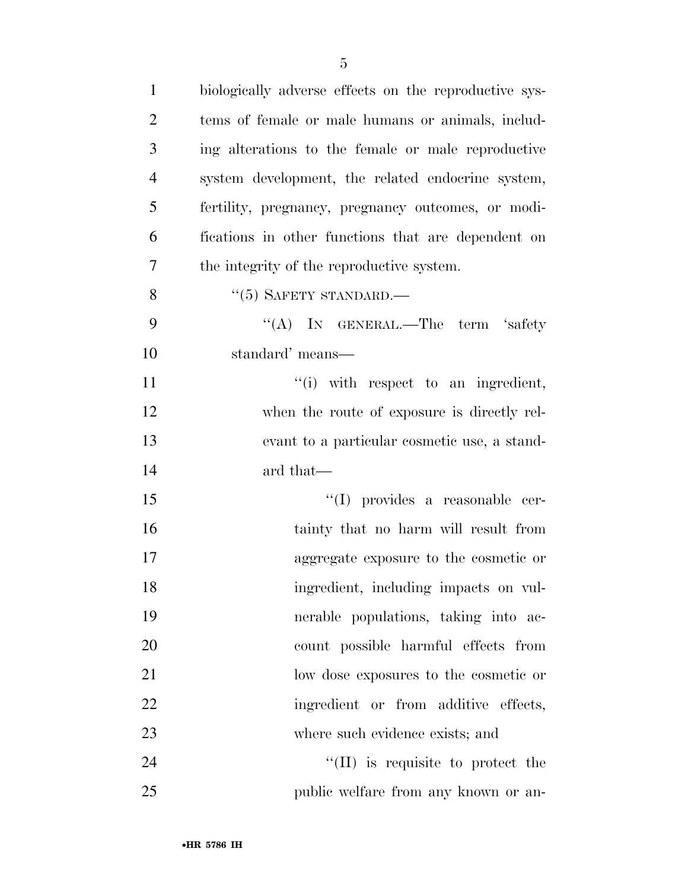| $\mathbf{1}$   | biologically adverse effects on the reproductive sys- |
|----------------|-------------------------------------------------------|
| $\overline{2}$ | tems of female or male humans or animals, includ-     |
| 3              | ing alterations to the female or male reproductive    |
| $\overline{4}$ | system development, the related endocrine system,     |
| 5              | fertility, pregnancy, pregnancy outcomes, or modi-    |
| 6              | fications in other functions that are dependent on    |
| $\tau$         | the integrity of the reproductive system.             |
| 8              | $``(5)$ SAFETY STANDARD.—                             |
| 9              | "(A) IN GENERAL.—The term 'safety                     |
| 10             | standard' means—                                      |
| 11             | $"(i)$ with respect to an ingredient,                 |
| 12             | when the route of exposure is directly rel-           |
| 13             | evant to a particular cosmetic use, a stand-          |
| 14             | ard that—                                             |
| 15             | "(I) provides a reasonable cer-                       |
| 16             | tainty that no harm will result from                  |
| 17             | aggregate exposure to the cosmetic or                 |
| 18             | ingredient, including impacts on vul-                 |
| 19             | nerable populations, taking into ac-                  |
| 20             | count possible harmful effects from                   |
| 21             | low dose exposures to the cosmetic or                 |
| 22             | ingredient or from additive effects,                  |
| 23             | where such evidence exists; and                       |
| 24             | $\lq\lq$ (II) is requisite to protect the             |
| 25             | public welfare from any known or an-                  |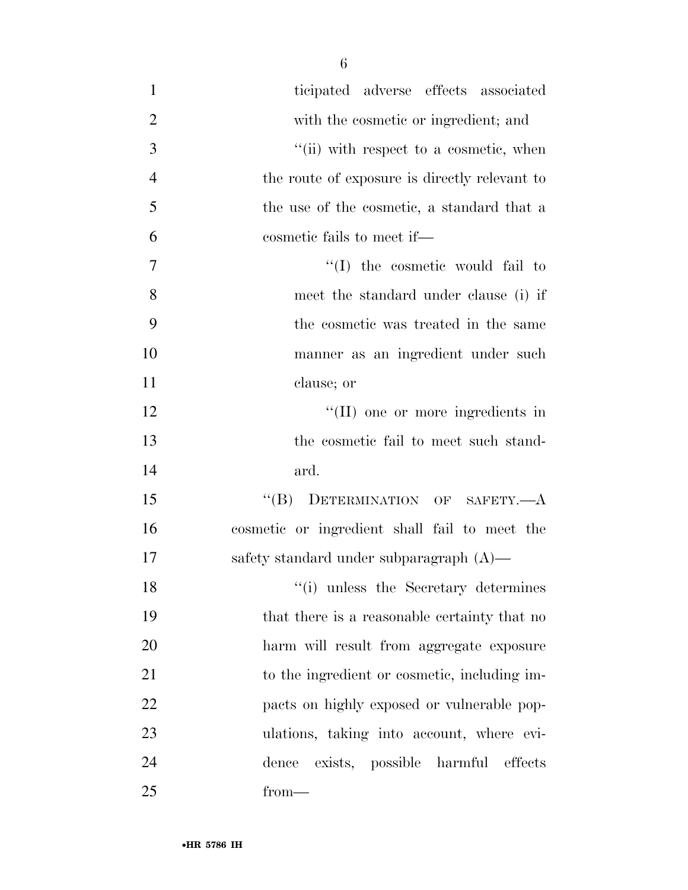| $\mathbf{1}$   | ticipated adverse effects associated          |
|----------------|-----------------------------------------------|
| $\overline{2}$ | with the cosmetic or ingredient; and          |
| 3              | "(ii) with respect to a cosmetic, when        |
| $\overline{4}$ | the route of exposure is directly relevant to |
| 5              | the use of the cosmetic, a standard that a    |
| 6              | cosmetic fails to meet if—                    |
| 7              | $\lq\lq$ the cosmetic would fail to           |
| 8              | meet the standard under clause (i) if         |
| 9              | the cosmetic was treated in the same          |
| 10             | manner as an ingredient under such            |
| 11             | clause; or                                    |
| 12             | "(II) one or more ingredients in              |
| 13             | the cosmetic fail to meet such stand-         |
| 14             | ard.                                          |
| 15             | "(B) DETERMINATION OF SAFETY.— $A$            |
| 16             | cosmetic or ingredient shall fail to meet the |
| 17             | safety standard under subparagraph $(A)$ —    |
| 18             | "(i) unless the Secretary determines          |
| 19             | that there is a reasonable certainty that no  |
| 20             | harm will result from aggregate exposure      |
| 21             | to the ingredient or cosmetic, including im-  |
| 22             | pacts on highly exposed or vulnerable pop-    |
| 23             | ulations, taking into account, where evi-     |
| 24             | exists, possible harmful effects<br>dence     |
| 25             | $from-$                                       |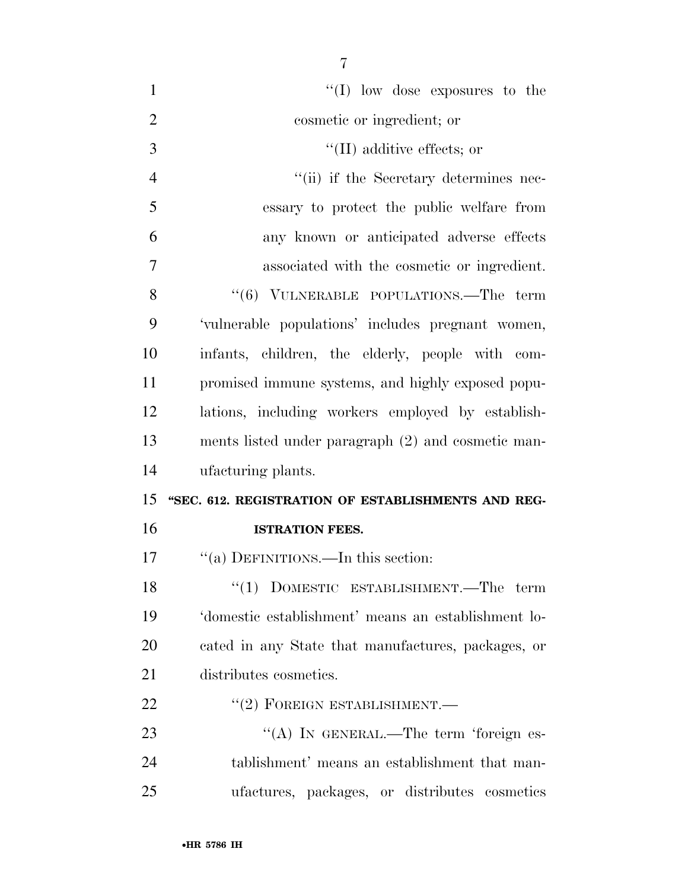| $\mathbf{1}$   | $\lq\lq$ (I) low dose exposures to the              |
|----------------|-----------------------------------------------------|
| $\overline{2}$ | cosmetic or ingredient; or                          |
| 3              | $\lq\lq$ (II) additive effects; or                  |
| $\overline{4}$ | "(ii) if the Secretary determines nec-              |
| 5              | essary to protect the public welfare from           |
| 6              | any known or anticipated adverse effects            |
| 7              | associated with the cosmetic or ingredient.         |
| 8              | "(6) VULNERABLE POPULATIONS.—The term               |
| 9              | 'vulnerable populations' includes pregnant women,   |
| 10             | infants, children, the elderly, people with com-    |
| 11             | promised immune systems, and highly exposed popu-   |
| 12             | lations, including workers employed by establish-   |
| 13             | ments listed under paragraph (2) and cosmetic man-  |
| 14             | ufacturing plants.                                  |
| 15             | "SEC. 612. REGISTRATION OF ESTABLISHMENTS AND REG-  |
| 16             | <b>ISTRATION FEES.</b>                              |
| 17             | "(a) DEFINITIONS.—In this section:                  |
| 18             | "(1) DOMESTIC ESTABLISHMENT.—The term               |
| 19             | 'domestic establishment' means an establishment lo- |
| 20             | cated in any State that manufactures, packages, or  |
| 21             | distributes cosmetics.                              |
| 22             | $``(2)$ FOREIGN ESTABLISHMENT.—                     |
| 23             | "(A) IN GENERAL.—The term 'foreign es-              |
| 24             |                                                     |
|                | tablishment' means an establishment that man-       |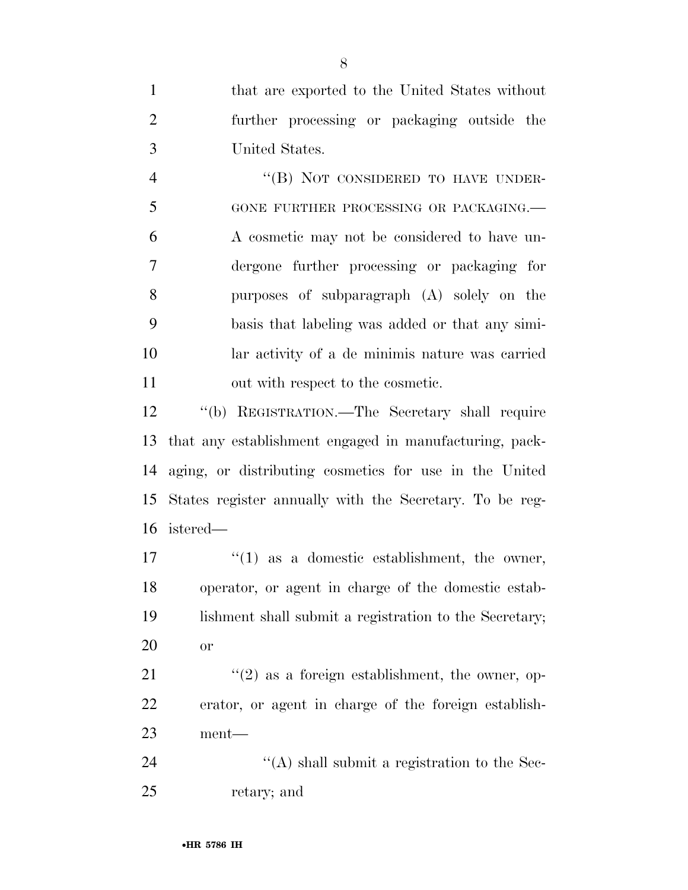that are exported to the United States without further processing or packaging outside the United States.

4 "(B) NOT CONSIDERED TO HAVE UNDER- GONE FURTHER PROCESSING OR PACKAGING.— A cosmetic may not be considered to have un- dergone further processing or packaging for purposes of subparagraph (A) solely on the basis that labeling was added or that any simi- lar activity of a de minimis nature was carried 11 out with respect to the cosmetic.

 ''(b) REGISTRATION.—The Secretary shall require that any establishment engaged in manufacturing, pack- aging, or distributing cosmetics for use in the United States register annually with the Secretary. To be reg-istered—

 $\frac{1}{2}$  (1) as a domestic establishment, the owner, operator, or agent in charge of the domestic estab- lishment shall submit a registration to the Secretary; or

21  $\langle \langle 2 \rangle$  as a foreign establishment, the owner, op- erator, or agent in charge of the foreign establish-ment—

24 ''(A) shall submit a registration to the Sec-retary; and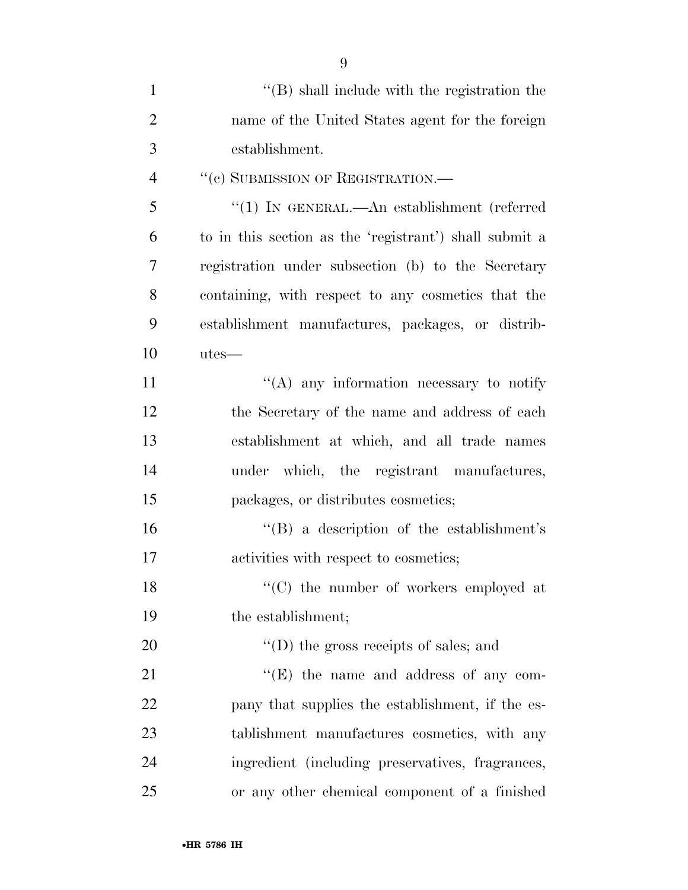| $\mathbf{1}$   | "(B) shall include with the registration the           |
|----------------|--------------------------------------------------------|
| $\overline{2}$ | name of the United States agent for the foreign        |
| 3              | establishment.                                         |
| $\overline{4}$ | "(c) SUBMISSION OF REGISTRATION.-                      |
| 5              | "(1) IN GENERAL.—An establishment (referred            |
| 6              | to in this section as the 'registrant') shall submit a |
| 7              | registration under subsection (b) to the Secretary     |
| 8              | containing, with respect to any cosmetics that the     |
| 9              | establishment manufactures, packages, or distrib-      |
| 10             | utes-                                                  |
| 11             | $\lq\lq$ any information necessary to notify           |
| 12             | the Secretary of the name and address of each          |
| 13             | establishment at which, and all trade names            |
| 14             | under which, the registrant manufactures,              |
| 15             | packages, or distributes cosmetics;                    |
| 16             | $\lq\lq (B)$ a description of the establishment's      |
| 17             | activities with respect to cosmetics;                  |
| 18             | "(C) the number of workers employed at                 |
| 19             | the establishment;                                     |
| 20             | $\lq\lq$ the gross receipts of sales; and              |
| 21             | $\lq\lq$ (E) the name and address of any com-          |
| 22             | pany that supplies the establishment, if the es-       |
| 23             | tablishment manufactures cosmetics, with any           |
| 24             | ingredient (including preservatives, fragrances,       |
| 25             | or any other chemical component of a finished          |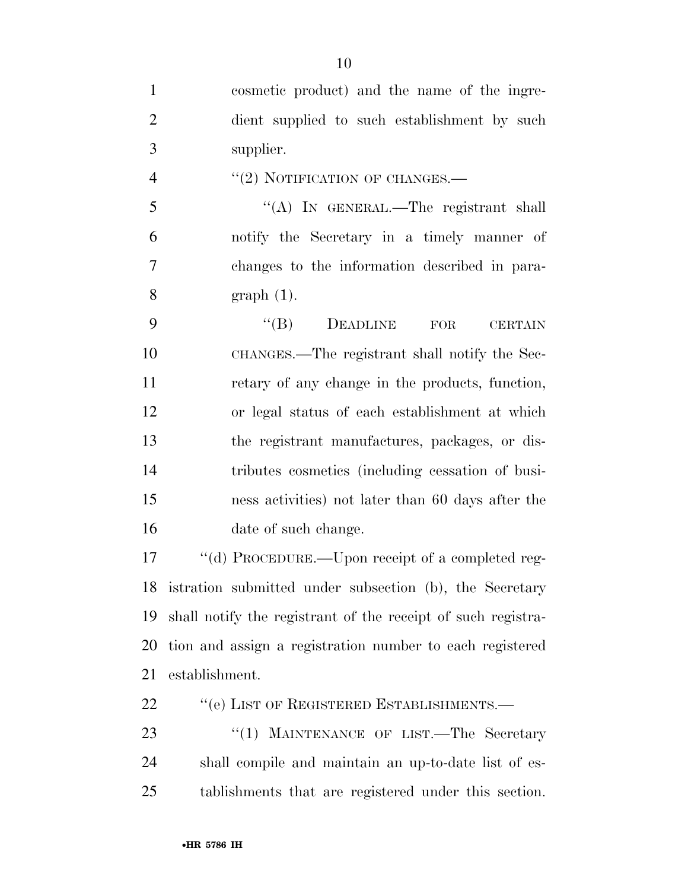| $\mathbf{1}$   | cosmetic product) and the name of the ingre-                 |
|----------------|--------------------------------------------------------------|
| $\overline{2}$ | dient supplied to such establishment by such                 |
| 3              | supplier.                                                    |
| $\overline{4}$ | $"(2)$ NOTIFICATION OF CHANGES.—                             |
| 5              | "(A) IN GENERAL.—The registrant shall                        |
| 6              | notify the Secretary in a timely manner of                   |
| 7              | changes to the information described in para-                |
| 8              | $graph(1)$ .                                                 |
| 9              | $\lq\lq (B)$<br>DEADLINE<br>${\rm FOR}$<br><b>CERTAIN</b>    |
| 10             | CHANGES.—The registrant shall notify the Sec-                |
| 11             | retary of any change in the products, function,              |
| 12             | or legal status of each establishment at which               |
| 13             | the registrant manufactures, packages, or dis-               |
| 14             | tributes cosmetics (including cessation of busi-             |
| 15             | ness activities) not later than 60 days after the            |
| 16             | date of such change.                                         |
| 17             | "(d) PROCEDURE.—Upon receipt of a completed reg-             |
| 18             | istration submitted under subsection (b), the Secretary      |
| 19             | shall notify the registrant of the receipt of such registra- |

establishment.

22 "(e) LIST OF REGISTERED ESTABLISHMENTS.—

23 "(1) MAINTENANCE OF LIST.—The Secretary shall compile and maintain an up-to-date list of es-tablishments that are registered under this section.

tion and assign a registration number to each registered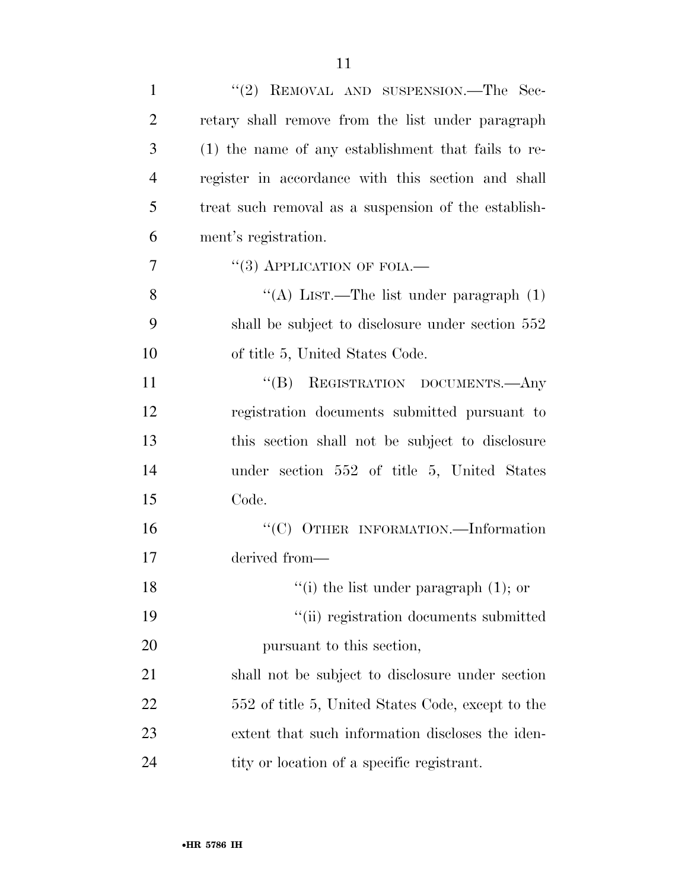| $\mathbf{1}$   | "(2) REMOVAL AND SUSPENSION.—The Sec-                 |
|----------------|-------------------------------------------------------|
| $\overline{2}$ | retary shall remove from the list under paragraph     |
| 3              | $(1)$ the name of any establishment that fails to re- |
| $\overline{4}$ | register in accordance with this section and shall    |
| 5              | treat such removal as a suspension of the establish-  |
| 6              | ment's registration.                                  |
| 7              | $\lq(3)$ APPLICATION OF FOIA.—                        |
| 8              | "(A) LIST.—The list under paragraph $(1)$             |
| 9              | shall be subject to disclosure under section 552      |
| 10             | of title 5, United States Code.                       |
| 11             | "(B) REGISTRATION DOCUMENTS.—Any                      |
| 12             | registration documents submitted pursuant to          |
| 13             | this section shall not be subject to disclosure       |
| 14             | under section 552 of title 5, United States           |
| 15             | Code.                                                 |
| 16             | "(C) OTHER INFORMATION.-Information                   |
| 17             | derived from-                                         |
| 18             | "(i) the list under paragraph $(1)$ ; or              |
| 19             | "(ii) registration documents submitted                |
| <b>20</b>      | pursuant to this section,                             |
| 21             | shall not be subject to disclosure under section      |
| 22             | 552 of title 5, United States Code, except to the     |
| 23             | extent that such information discloses the iden-      |
| 24             | tity or location of a specific registrant.            |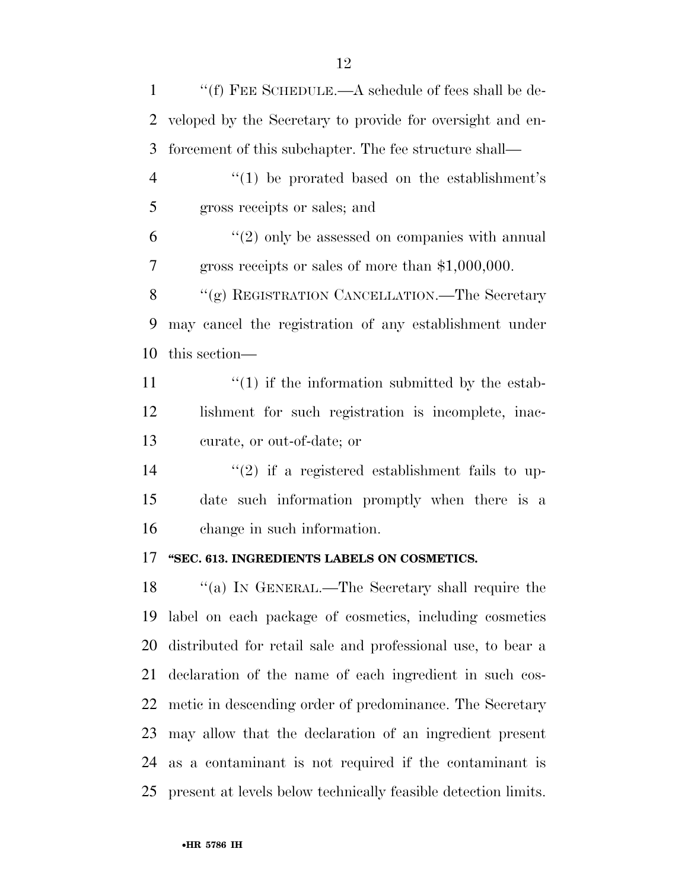''(f) FEE SCHEDULE.—A schedule of fees shall be de- veloped by the Secretary to provide for oversight and en- forcement of this subchapter. The fee structure shall—  $\frac{4}{1}$  be prorated based on the establishment's gross receipts or sales; and ''(2) only be assessed on companies with annual gross receipts or sales of more than \$1,000,000. 8 "(g) REGISTRATION CANCELLATION.—The Secretary may cancel the registration of any establishment under this section—  $\frac{1}{1}$   $\frac{1}{1}$  if the information submitted by the estab- lishment for such registration is incomplete, inac-curate, or out-of-date; or

14  $(2)$  if a registered establishment fails to up- date such information promptly when there is a change in such information.

#### **''SEC. 613. INGREDIENTS LABELS ON COSMETICS.**

 ''(a) IN GENERAL.—The Secretary shall require the label on each package of cosmetics, including cosmetics distributed for retail sale and professional use, to bear a declaration of the name of each ingredient in such cos- metic in descending order of predominance. The Secretary may allow that the declaration of an ingredient present as a contaminant is not required if the contaminant is present at levels below technically feasible detection limits.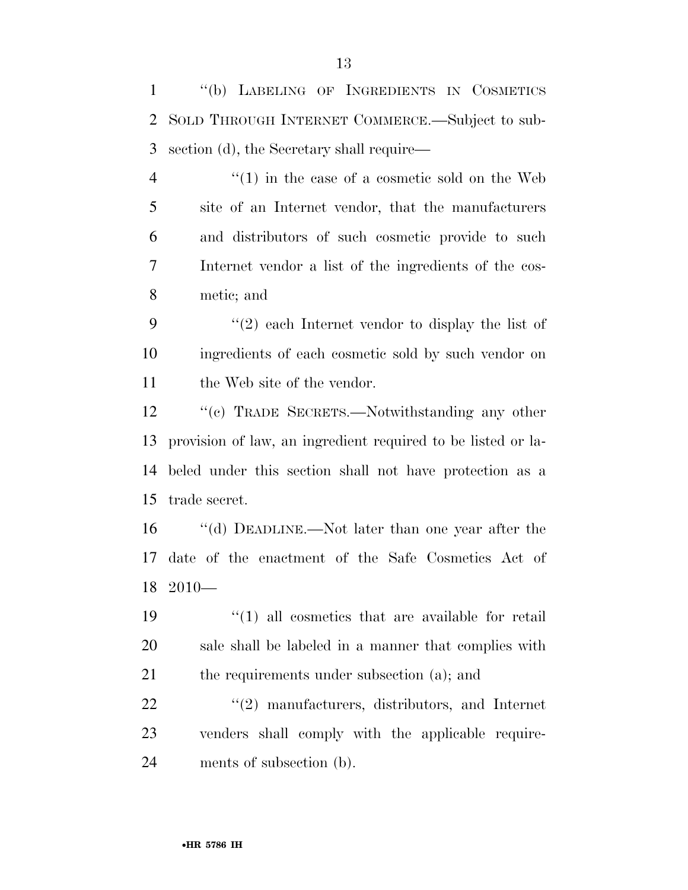''(b) LABELING OF INGREDIENTS IN COSMETICS SOLD THROUGH INTERNET COMMERCE.—Subject to sub-section (d), the Secretary shall require—

 $\frac{1}{1}$  in the case of a cosmetic sold on the Web site of an Internet vendor, that the manufacturers and distributors of such cosmetic provide to such Internet vendor a list of the ingredients of the cos-metic; and

9 ''(2) each Internet vendor to display the list of ingredients of each cosmetic sold by such vendor on 11 the Web site of the vendor.

 ''(c) TRADE SECRETS.—Notwithstanding any other provision of law, an ingredient required to be listed or la- beled under this section shall not have protection as a trade secret.

 ''(d) DEADLINE.—Not later than one year after the date of the enactment of the Safe Cosmetics Act of 2010—

 ''(1) all cosmetics that are available for retail sale shall be labeled in a manner that complies with 21 the requirements under subsection (a); and

22 "(2) manufacturers, distributors, and Internet venders shall comply with the applicable require-ments of subsection (b).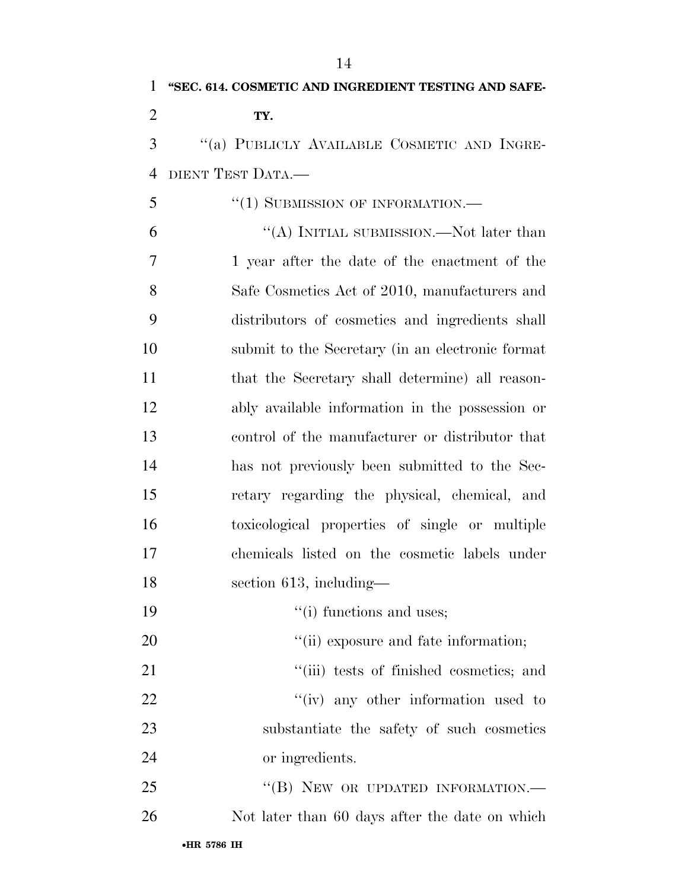DIENT TEST DATA.—

5 "(1) SUBMISSION OF INFORMATION.—

 ''(A) INITIAL SUBMISSION.—Not later than 1 year after the date of the enactment of the Safe Cosmetics Act of 2010, manufacturers and distributors of cosmetics and ingredients shall submit to the Secretary (in an electronic format that the Secretary shall determine) all reason- ably available information in the possession or control of the manufacturer or distributor that has not previously been submitted to the Sec- retary regarding the physical, chemical, and toxicological properties of single or multiple chemicals listed on the cosmetic labels under section 613, including—

- 19  $"(i)$  functions and uses;
- 20  $\frac{1}{1}$  (ii) exposure and fate information;
- 21 ''(iii) tests of finished cosmetics; and 22  $\frac{1}{10}$   $\frac{1}{10}$  any other information used to substantiate the safety of such cosmetics or ingredients.

25 "(B) NEW OR UPDATED INFORMATION.— 26 Not later than 60 days after the date on which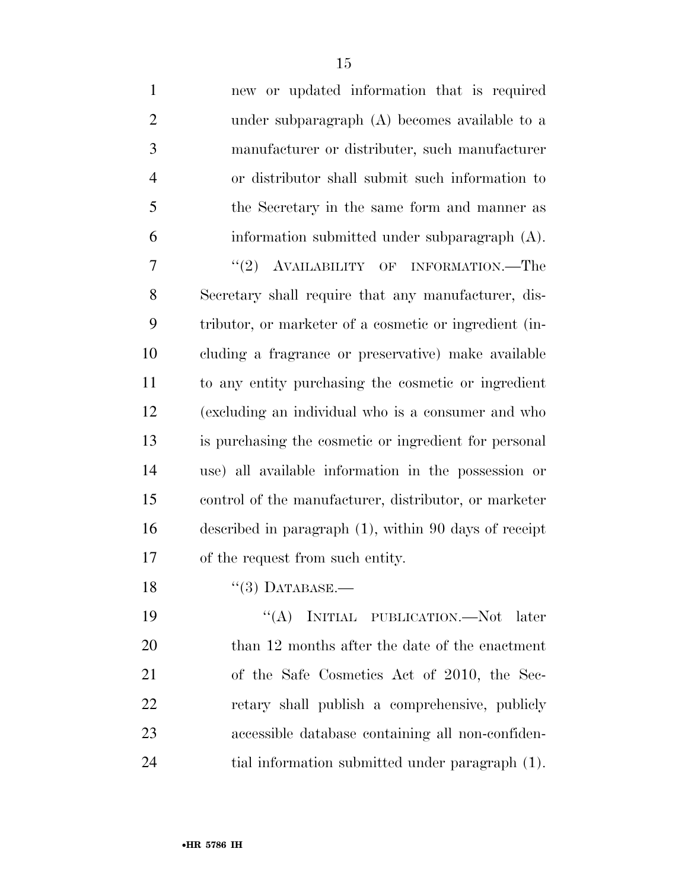| $\mathbf{1}$   | new or updated information that is required              |
|----------------|----------------------------------------------------------|
| $\mathbf{2}$   | under subparagraph (A) becomes available to a            |
| 3              | manufacturer or distributer, such manufacturer           |
| $\overline{4}$ | or distributor shall submit such information to          |
| 5              | the Secretary in the same form and manner as             |
| 6              | information submitted under subparagraph (A).            |
| 7              | "(2) AVAILABILITY OF INFORMATION.—The                    |
| 8              | Secretary shall require that any manufacturer, dis-      |
| 9              | tributor, or marketer of a cosmetic or ingredient (in-   |
| 10             | cluding a fragrance or preservative) make available      |
| 11             | to any entity purchasing the cosmetic or ingredient      |
| 12             | (excluding an individual who is a consumer and who       |
| 13             | is purchasing the cosmetic or ingredient for personal    |
| 14             | use) all available information in the possession or      |
| 15             | control of the manufacturer, distributor, or marketer    |
| 16             | described in paragraph $(1)$ , within 90 days of receipt |
| 17             | of the request from such entity.                         |
| 18             | $(3)$ DATABASE.—                                         |
| 19             | $\lq\lq (A)$<br>INITIAL PUBLICATION.—Not<br>later        |
| 20             | than 12 months after the date of the enactment           |
| 21             | of the Safe Cosmetics Act of 2010, the Sec-              |
| 22             | retary shall publish a comprehensive, publicly           |
| 23             | accessible database containing all non-confiden-         |
| 24             | tial information submitted under paragraph (1).          |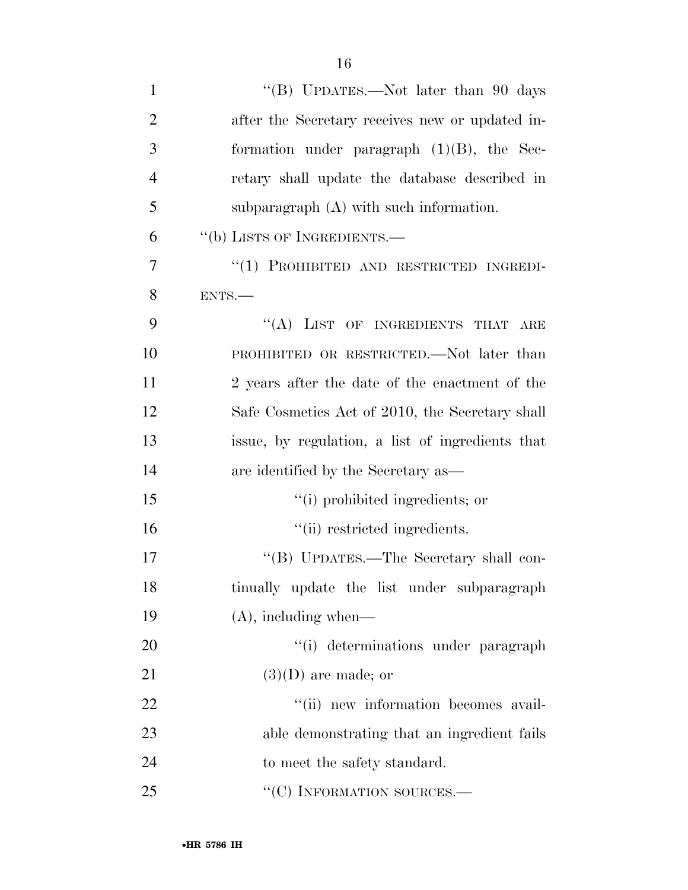| $\mathbf{1}$   | "(B) UPDATES.—Not later than 90 days             |
|----------------|--------------------------------------------------|
| $\overline{2}$ | after the Secretary receives new or updated in-  |
| 3              | formation under paragraph $(1)(B)$ , the Sec-    |
| $\overline{4}$ | retary shall update the database described in    |
| 5              | subparagraph $(A)$ with such information.        |
| 6              | "(b) LISTS OF INGREDIENTS.—                      |
| 7              | "(1) PROHIBITED AND RESTRICTED INGREDI-          |
| 8              | ENTS.                                            |
| 9              | "(A) LIST OF INGREDIENTS THAT ARE                |
| 10             | PROHIBITED OR RESTRICTED.—Not later than         |
| 11             | 2 years after the date of the enactment of the   |
| 12             | Safe Cosmetics Act of 2010, the Secretary shall  |
| 13             | issue, by regulation, a list of ingredients that |
| 14             | are identified by the Secretary as—              |
| 15             | "(i) prohibited ingredients; or                  |
| 16             | "(ii) restricted ingredients.                    |
| 17             | "(B) UPDATES.—The Secretary shall con-           |
| 18             | tinually update the list under subparagraph      |
| 19             | $(A)$ , including when—                          |
| 20             | "(i) determinations under paragraph              |
| 21             | $(3)(D)$ are made; or                            |
| 22             | "(ii) new information becomes avail-             |
| 23             | able demonstrating that an ingredient fails      |
| 24             | to meet the safety standard.                     |
| 25             | "(C) INFORMATION SOURCES.-                       |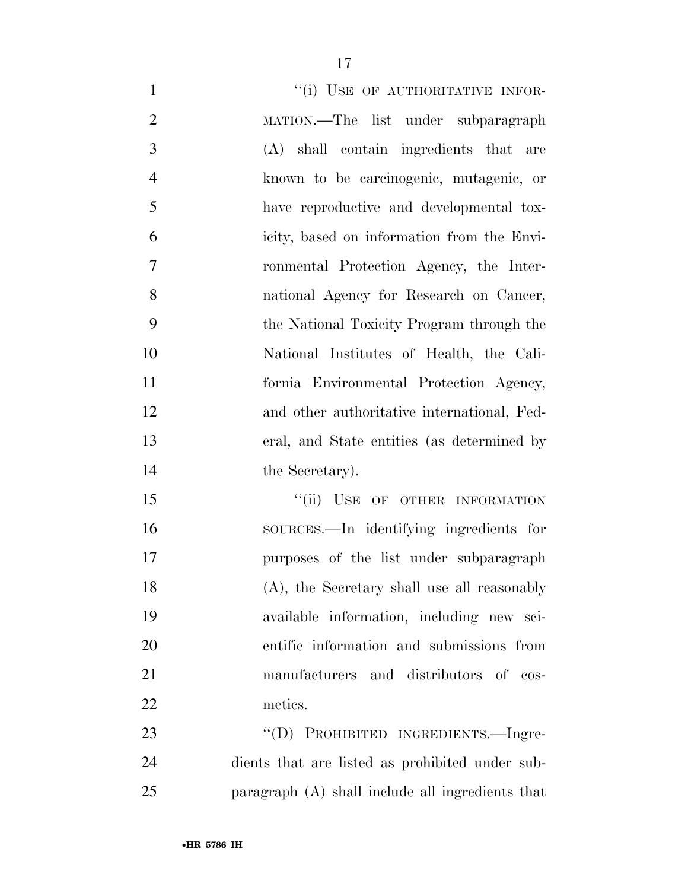| $\mathbf{1}$   | "(i) USE OF AUTHORITATIVE INFOR-                 |
|----------------|--------------------------------------------------|
| $\overline{2}$ | MATION.—The list under subparagraph              |
| 3              | (A) shall contain ingredients that are           |
| $\overline{4}$ | known to be carcinogenic, mutagenic, or          |
| 5              | have reproductive and developmental tox-         |
| 6              | icity, based on information from the Envi-       |
| $\overline{7}$ | ronmental Protection Agency, the Inter-          |
| 8              | national Agency for Research on Cancer,          |
| 9              | the National Toxicity Program through the        |
| 10             | National Institutes of Health, the Cali-         |
| 11             | fornia Environmental Protection Agency,          |
| 12             | and other authoritative international, Fed-      |
| 13             | eral, and State entities (as determined by       |
| 14             | the Secretary).                                  |
| 15             | "(ii) USE OF OTHER INFORMATION                   |
| 16             | sources.—In identifying ingredients for          |
| 17             | purposes of the list under subparagraph          |
| 18             | (A), the Secretary shall use all reasonably      |
| 19             | available information, including new sci-        |
| 20             | entific information and submissions from         |
| 21             | manufacturers and distributors of cos-           |
| 22             | metics.                                          |
| 23             | "(D) PROHIBITED INGREDIENTS.—Ingre-              |
| 24             | dients that are listed as prohibited under sub-  |
| 25             | paragraph (A) shall include all ingredients that |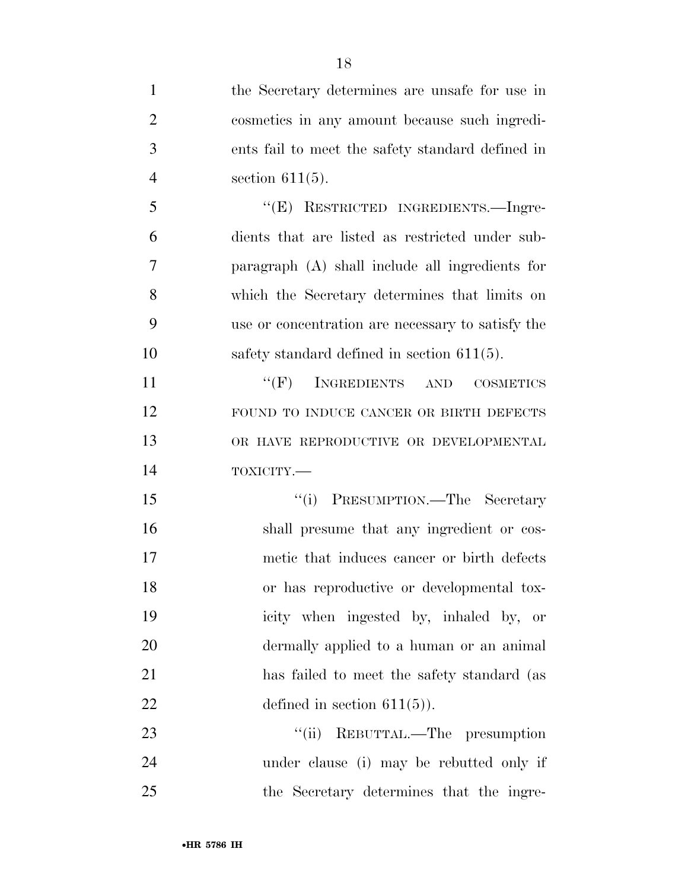| $\mathbf{1}$   | the Secretary determines are unsafe for use in    |
|----------------|---------------------------------------------------|
| $\overline{2}$ | cosmetics in any amount because such ingredi-     |
| 3              | ents fail to meet the safety standard defined in  |
| $\overline{4}$ | section $611(5)$ .                                |
| 5              | "(E) RESTRICTED INGREDIENTS.—Ingre-               |
| 6              | dients that are listed as restricted under sub-   |
| 7              | paragraph (A) shall include all ingredients for   |
| 8              | which the Secretary determines that limits on     |
| 9              | use or concentration are necessary to satisfy the |
| 10             | safety standard defined in section $611(5)$ .     |
| 11             | $``(F)$ INGREDIENTS AND<br><b>COSMETICS</b>       |
| 12             | FOUND TO INDUCE CANCER OR BIRTH DEFECTS           |
| 13             | OR HAVE REPRODUCTIVE OR DEVELOPMENTAL             |
| 14             | TOXICITY.-                                        |
| 15             | PRESUMPTION.—The Secretary<br>``(i)               |
| 16             | shall presume that any ingredient or cos-         |
| 17             | metic that induces cancer or birth defects        |
| 18             | or has reproductive or developmental tox-         |
| 19             | icity when ingested by, inhaled by, or            |
| 20             | dermally applied to a human or an animal          |
| 21             | has failed to meet the safety standard (as        |
| 22             | defined in section $611(5)$ ).                    |
| 23             | ``(ii)<br>REBUTTAL.—The presumption               |
| 24             | under clause (i) may be rebutted only if          |
| 25             | the Secretary determines that the ingre-          |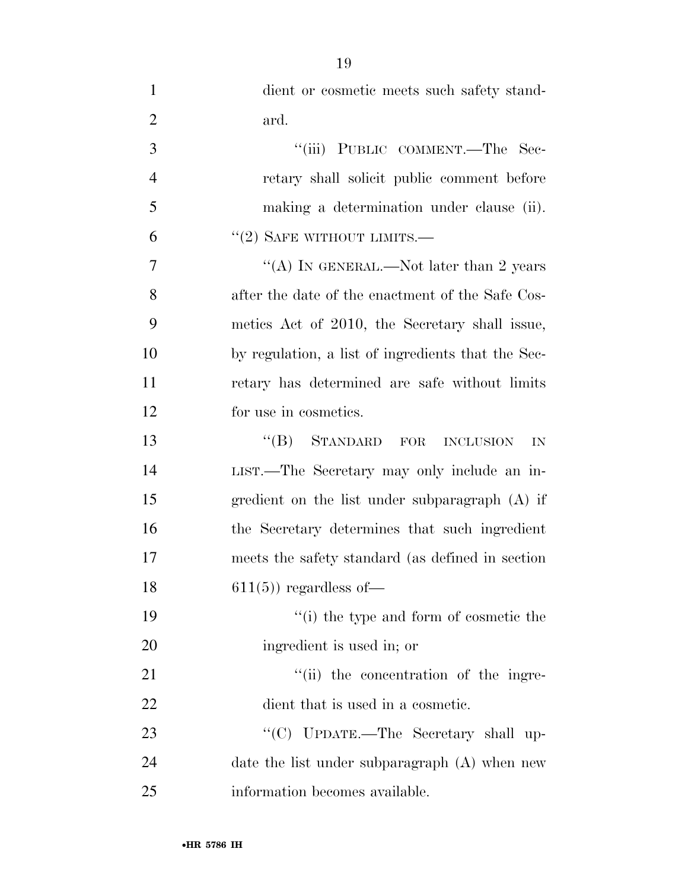| $\mathbf{1}$   | dient or cosmetic meets such safety stand-         |
|----------------|----------------------------------------------------|
| $\overline{2}$ | ard.                                               |
| 3              | "(iii) PUBLIC COMMENT.—The Sec-                    |
| $\overline{4}$ | retary shall solicit public comment before         |
| 5              | making a determination under clause (ii).          |
| 6              | $"(2)$ SAFE WITHOUT LIMITS.—                       |
| 7              | "(A) IN GENERAL.—Not later than 2 years            |
| 8              | after the date of the enactment of the Safe Cos-   |
| 9              | metics Act of 2010, the Secretary shall issue,     |
| 10             | by regulation, a list of ingredients that the Sec- |
| 11             | retary has determined are safe without limits      |
| 12             | for use in cosmetics.                              |
| 13             | "(B) STANDARD FOR<br><b>INCLUSION</b><br>IN        |
| 14             | LIST.—The Secretary may only include an in-        |
| 15             | gredient on the list under subparagraph (A) if     |
| 16             | the Secretary determines that such ingredient      |
| 17             | meets the safety standard (as defined in section   |
| 18             | $611(5)$ regardless of —                           |
| 19             | "(i) the type and form of cosmetic the             |
| 20             | ingredient is used in; or                          |
| 21             | "(ii) the concentration of the ingre-              |
| 22             | dient that is used in a cosmetic.                  |
| 23             | "(C) UPDATE.—The Secretary shall up-               |
| 24             | date the list under subparagraph $(A)$ when new    |
| 25             | information becomes available.                     |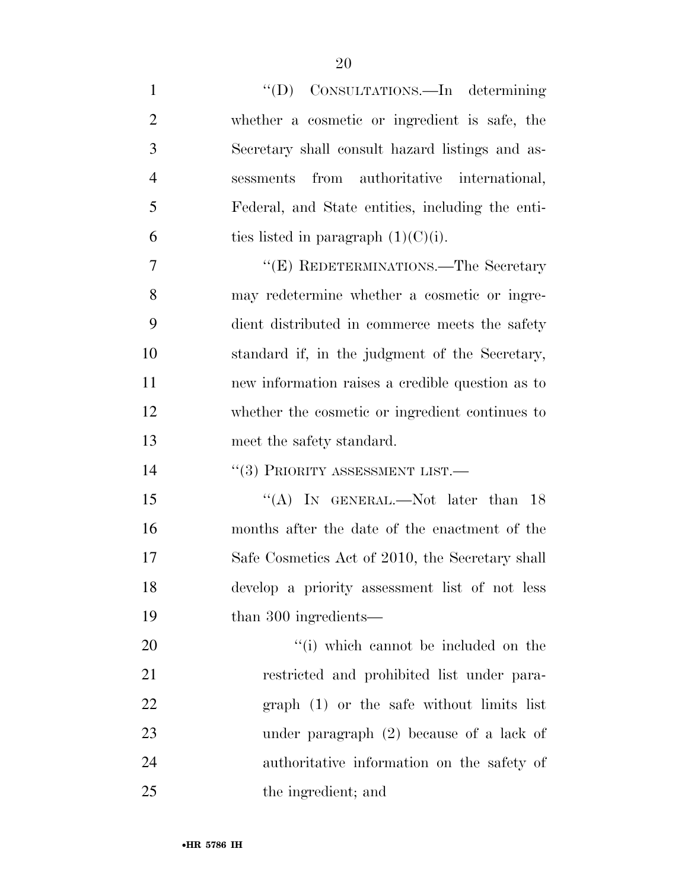| $\mathbf{1}$   | "(D) CONSULTATIONS.—In determining               |
|----------------|--------------------------------------------------|
| $\overline{2}$ | whether a cosmetic or ingredient is safe, the    |
| 3              | Secretary shall consult hazard listings and as-  |
| $\overline{4}$ | from authoritative international,<br>sessments   |
| 5              | Federal, and State entities, including the enti- |
| 6              | ties listed in paragraph $(1)(C)(i)$ .           |
| 7              | "(E) REDETERMINATIONS.—The Secretary             |
| 8              | may redetermine whether a cosmetic or ingre-     |
| 9              | dient distributed in commerce meets the safety   |
| 10             | standard if, in the judgment of the Secretary,   |
| <sup>11</sup>  | new information raises a credible question as to |
| 12             | whether the cosmetic or ingredient continues to  |
| 13             | meet the safety standard.                        |
| 14             | $``(3)$ PRIORITY ASSESSMENT LIST.—               |
| 15             | "(A) IN GENERAL.—Not later than $18$             |
| 16             | months after the date of the enactment of the    |
| 17             | Safe Cosmetics Act of 2010, the Secretary shall  |
| 18             | develop a priority assessment list of not less   |
| 19             | than 300 ingredients—                            |
| 20             | "(i) which cannot be included on the             |
| 21             | restricted and prohibited list under para-       |
| 22             | $graph (1)$ or the safe without limits list      |
| 23             | under paragraph $(2)$ because of a lack of       |
| 24             | authoritative information on the safety of       |
| 25             | the ingredient; and                              |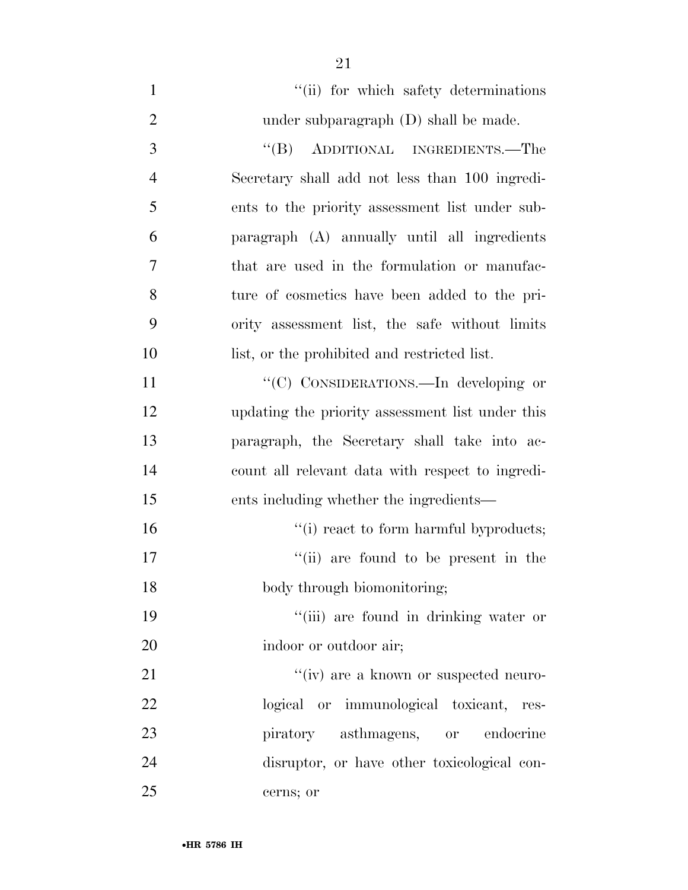$''(ii)$  for which safety determinations 2 under subparagraph (D) shall be made. 3 "(B) ADDITIONAL INGREDIENTS.—The Secretary shall add not less than 100 ingredi- ents to the priority assessment list under sub- paragraph (A) annually until all ingredients that are used in the formulation or manufac- ture of cosmetics have been added to the pri- ority assessment list, the safe without limits list, or the prohibited and restricted list. 11 ""(C) CONSIDERATIONS.—In developing or updating the priority assessment list under this paragraph, the Secretary shall take into ac- count all relevant data with respect to ingredi- ents including whether the ingredients—  $\frac{1}{10}$  react to form harmful byproducts; 17 ''(ii) are found to be present in the 18 body through biomonitoring; ''(iii) are found in drinking water or 20 indoor or outdoor air;  $\frac{1}{\cos(\theta)}$  are a known or suspected neuro- logical or immunological toxicant, res-23 piratory asthmagens, or endocrine disruptor, or have other toxicological con-cerns; or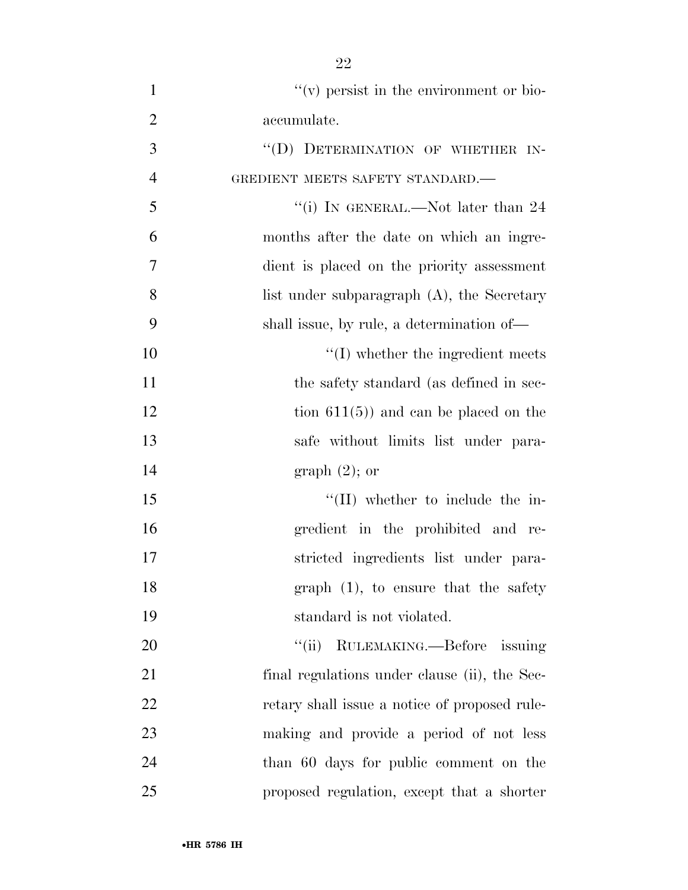| $\mathbf{1}$   | $f'(v)$ persist in the environment or bio-    |
|----------------|-----------------------------------------------|
| $\overline{2}$ | accumulate.                                   |
| 3              | "(D) DETERMINATION OF WHETHER IN-             |
| $\overline{4}$ | GREDIENT MEETS SAFETY STANDARD.—              |
| 5              | "(i) IN GENERAL.—Not later than 24            |
| 6              | months after the date on which an ingre-      |
| 7              | dient is placed on the priority assessment    |
| 8              | list under subparagraph $(A)$ , the Secretary |
| 9              | shall issue, by rule, a determination of—     |
| 10             | $\lq\lq$ whether the ingredient meets         |
| 11             | the safety standard (as defined in sec-       |
| 12             | tion $611(5)$ and can be placed on the        |
| 13             | safe without limits list under para-          |
| 14             | graph $(2)$ ; or                              |
| 15             | $\lq\lq$ (II) whether to include the in-      |
| 16             | gredient in the prohibited and re-            |
| 17             | stricted ingredients list under para-         |
| 18             | graph $(1)$ , to ensure that the safety       |
| 19             | standard is not violated.                     |
| 20             | "(ii) RULEMAKING.—Before issuing              |
| 21             | final regulations under clause (ii), the Sec- |
| 22             | retary shall issue a notice of proposed rule- |
| 23             | making and provide a period of not less       |
| 24             | than 60 days for public comment on the        |
| 25             | proposed regulation, except that a shorter    |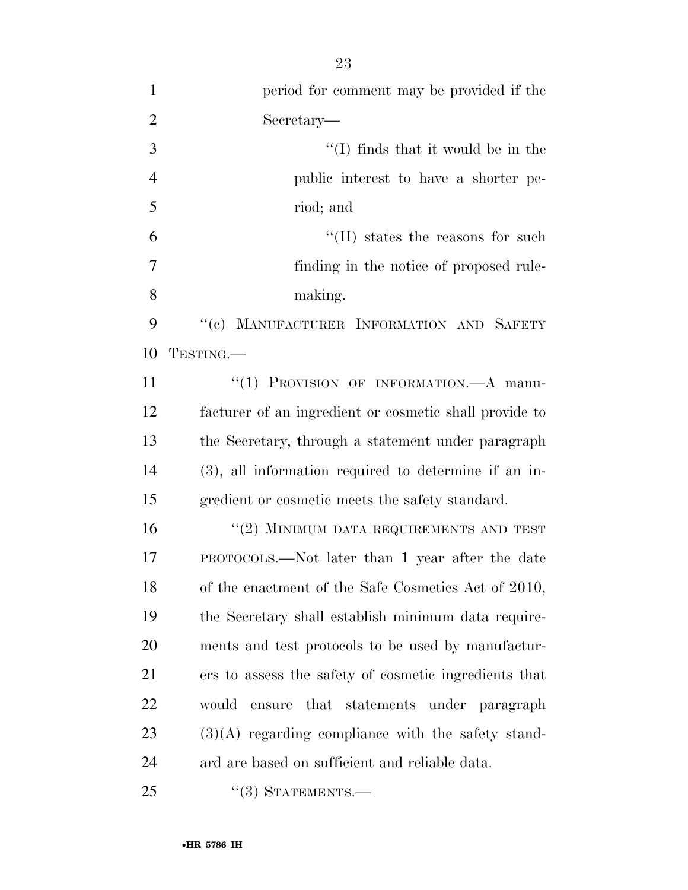period for comment may be provided if the Secretary— ''(I) finds that it would be in the public interest to have a shorter pe- riod; and  $\mathcal{L}$   $\mathcal{L}$  (II) states the reasons for such finding in the notice of proposed rule- making. 9 "(c) MANUFACTURER INFORMATION AND SAFETY TESTING.— 11 "(1) PROVISION OF INFORMATION.—A manu- facturer of an ingredient or cosmetic shall provide to the Secretary, through a statement under paragraph (3), all information required to determine if an in- gredient or cosmetic meets the safety standard. ''(2) MINIMUM DATA REQUIREMENTS AND TEST PROTOCOLS.—Not later than 1 year after the date of the enactment of the Safe Cosmetics Act of 2010, the Secretary shall establish minimum data require- ments and test protocols to be used by manufactur-ers to assess the safety of cosmetic ingredients that

would ensure that statements under paragraph

ard are based on sufficient and reliable data.

(3)(A) regarding compliance with the safety stand-

25 "(3) STATEMENTS.—

•**HR 5786 IH**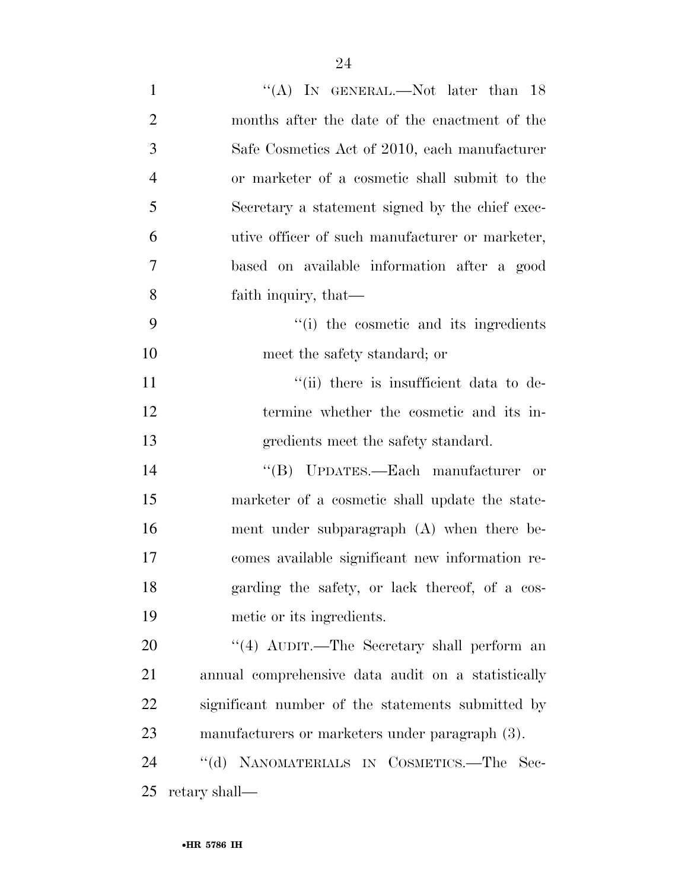| $\mathbf{1}$   | "(A) IN GENERAL.—Not later than $18$               |
|----------------|----------------------------------------------------|
| $\overline{2}$ | months after the date of the enactment of the      |
| 3              | Safe Cosmetics Act of 2010, each manufacturer      |
| $\overline{4}$ | or marketer of a cosmetic shall submit to the      |
| 5              | Secretary a statement signed by the chief exec-    |
| 6              | utive officer of such manufacturer or marketer,    |
| 7              | based on available information after a good        |
| 8              | faith inquiry, that—                               |
| 9              | "(i) the cosmetic and its ingredients              |
| 10             | meet the safety standard; or                       |
| 11             | "(ii) there is insufficient data to de-            |
| 12             | termine whether the cosmetic and its in-           |
| 13             | gredients meet the safety standard.                |
| 14             | "(B) UPDATES.—Each manufacturer or                 |
| 15             | marketer of a cosmetic shall update the state-     |
| 16             | ment under subparagraph (A) when there be-         |
| 17             | comes available significant new information re-    |
| 18             | garding the safety, or lack thereof, of a cos-     |
| 19             | metic or its ingredients.                          |
| 20             | "(4) AUDIT.—The Secretary shall perform an         |
| 21             | annual comprehensive data audit on a statistically |
| 22             | significant number of the statements submitted by  |
| 23             | manufacturers or marketers under paragraph (3).    |
| 24             | "(d) NANOMATERIALS IN COSMETICS.—The Sec-          |
| 25             | retary shall—                                      |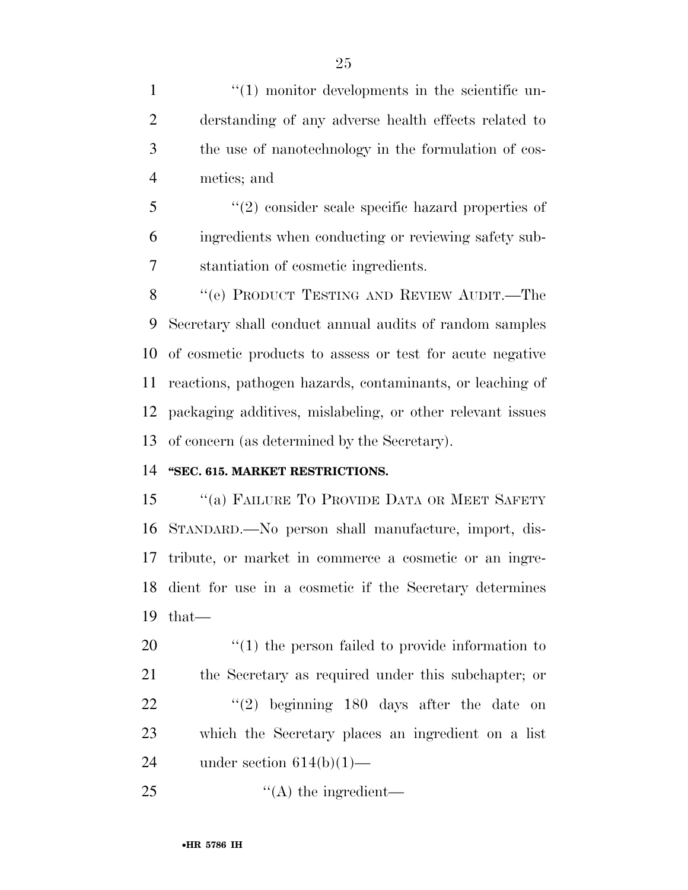$\frac{1}{1}$  monitor developments in the scientific un- derstanding of any adverse health effects related to the use of nanotechnology in the formulation of cos-metics; and

 ''(2) consider scale specific hazard properties of ingredients when conducting or reviewing safety sub-stantiation of cosmetic ingredients.

8 "(e) PRODUCT TESTING AND REVIEW AUDIT.—The Secretary shall conduct annual audits of random samples of cosmetic products to assess or test for acute negative reactions, pathogen hazards, contaminants, or leaching of packaging additives, mislabeling, or other relevant issues of concern (as determined by the Secretary).

#### **''SEC. 615. MARKET RESTRICTIONS.**

15 "(a) FAILURE TO PROVIDE DATA OR MEET SAFETY STANDARD.—No person shall manufacture, import, dis- tribute, or market in commerce a cosmetic or an ingre- dient for use in a cosmetic if the Secretary determines that—

20  $\frac{1}{20}$  (1) the person failed to provide information to the Secretary as required under this subchapter; or 22 ''(2) beginning 180 days after the date on which the Secretary places an ingredient on a list 24 under section  $614(b)(1)$ —

25  $\text{``(A) the ingredient}$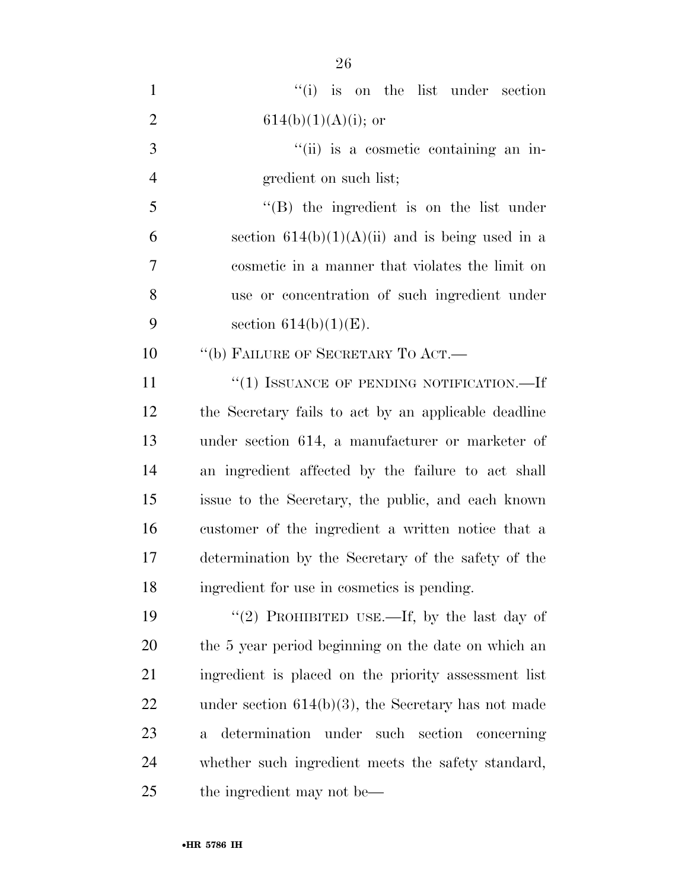| $\mathbf{1}$   | "(i) is on the list under section                              |
|----------------|----------------------------------------------------------------|
| $\overline{2}$ | $614(b)(1)(A)(i)$ ; or                                         |
| 3              | "(ii) is a cosmetic containing an in-                          |
| $\overline{4}$ | gredient on such list;                                         |
| 5              | $\lq\lq$ the ingredient is on the list under                   |
| 6              | section $614(b)(1)(A)(ii)$ and is being used in a              |
| 7              | cosmetic in a manner that violates the limit on                |
| 8              | use or concentration of such ingredient under                  |
| 9              | section $614(b)(1)(E)$ .                                       |
| 10             | "(b) FAILURE OF SECRETARY TO ACT.—                             |
| 11             | "(1) ISSUANCE OF PENDING NOTIFICATION.—If                      |
| 12             | the Secretary fails to act by an applicable deadline           |
| 13             | under section 614, a manufacturer or marketer of               |
| 14             | an ingredient affected by the failure to act shall             |
| 15             | issue to the Secretary, the public, and each known             |
| 16             | customer of the ingredient a written notice that a             |
| 17             | determination by the Secretary of the safety of the            |
| 18             | ingredient for use in cosmetics is pending.                    |
| 19             | "(2) PROHIBITED USE.—If, by the last day of                    |
| 20             | the 5 year period beginning on the date on which an            |
| 21             | ingredient is placed on the priority assessment list           |
| 22             | under section $614(b)(3)$ , the Secretary has not made         |
| 23             | determination under such section<br>concerning<br>$\mathbf{a}$ |
| 24             | whether such ingredient meets the safety standard,             |
| 25             | the ingredient may not be—                                     |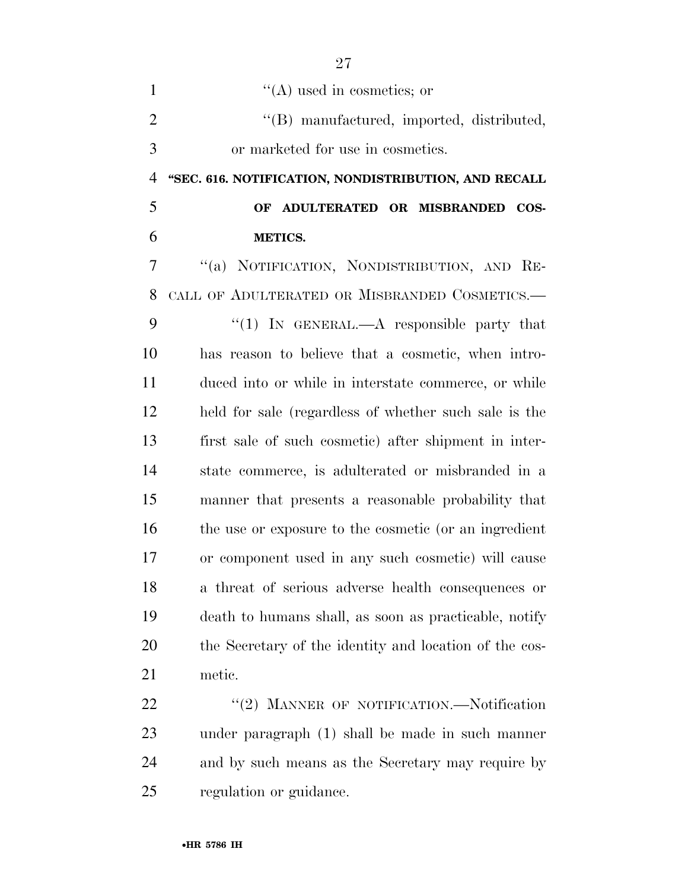| $\mathbf{1}$   | $\lq\lq$ (A) used in cosmetics; or                     |
|----------------|--------------------------------------------------------|
| $\overline{2}$ | "(B) manufactured, imported, distributed,              |
| 3              | or marketed for use in cosmetics.                      |
| $\overline{4}$ | "SEC. 616. NOTIFICATION, NONDISTRIBUTION, AND RECALL   |
| 5              | COS-<br>ADULTERATED OR MISBRANDED<br>OF                |
| 6              | <b>METICS.</b>                                         |
| $\overline{7}$ | "(a) NOTIFICATION, NONDISTRIBUTION, AND RE-            |
| 8              | CALL OF ADULTERATED OR MISBRANDED COSMETICS.-          |
| 9              | "(1) IN GENERAL.—A responsible party that              |
| 10             | has reason to believe that a cosmetic, when intro-     |
| 11             | duced into or while in interstate commerce, or while   |
| 12             | held for sale (regardless of whether such sale is the  |
| 13             | first sale of such cosmetic) after shipment in inter-  |
| 14             | state commerce, is adulterated or misbranded in a      |
| 15             | manner that presents a reasonable probability that     |
| 16             | the use or exposure to the cosmetic (or an ingredient  |
| 17             | or component used in any such cosmetic) will cause     |
| 18             | a threat of serious adverse health consequences or     |
| 19             | death to humans shall, as soon as practicable, notify  |
| 20             | the Secretary of the identity and location of the cos- |
| 21             | metic.                                                 |
| 22             | "(2) MANNER OF NOTIFICATION.—Notification              |
| 23             | under paragraph (1) shall be made in such manner       |

 and by such means as the Secretary may require by regulation or guidance.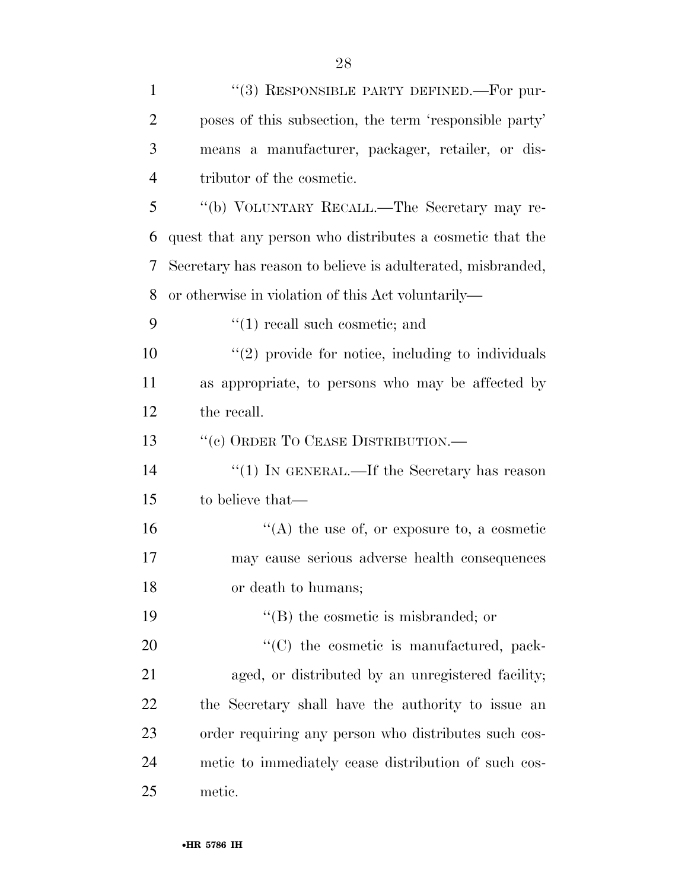| $\mathbf{1}$   | "(3) RESPONSIBLE PARTY DEFINED.—For pur-                    |
|----------------|-------------------------------------------------------------|
| $\overline{2}$ | poses of this subsection, the term 'responsible party'      |
| 3              | means a manufacturer, packager, retailer, or dis-           |
| $\overline{4}$ | tributor of the cosmetic.                                   |
| 5              | "(b) VOLUNTARY RECALL.—The Secretary may re-                |
| 6              | quest that any person who distributes a cosmetic that the   |
| 7              | Secretary has reason to believe is adulterated, misbranded, |
| 8              | or otherwise in violation of this Act voluntarily—          |
| 9              | $\lq(1)$ recall such cosmetic; and                          |
| 10             | $\lq(2)$ provide for notice, including to individuals       |
| 11             | as appropriate, to persons who may be affected by           |
| 12             | the recall.                                                 |
| 13             | "(c) ORDER TO CEASE DISTRIBUTION.—                          |
| 14             | "(1) IN GENERAL.—If the Secretary has reason                |
| 15             | to believe that—                                            |
| 16             | "(A) the use of, or exposure to, a cosmetic                 |
| 17             | may cause serious adverse health consequences               |
| 18             | or death to humans;                                         |
| 19             | $\lq$ (B) the cosmetic is misbranded; or                    |
| 20             | $\lq\lq$ (C) the cosmetic is manufactured, pack-            |
| 21             | aged, or distributed by an unregistered facility;           |
| 22             | the Secretary shall have the authority to issue an          |
| 23             | order requiring any person who distributes such cos-        |
| 24             | metic to immediately cease distribution of such cos-        |
| 25             | metic.                                                      |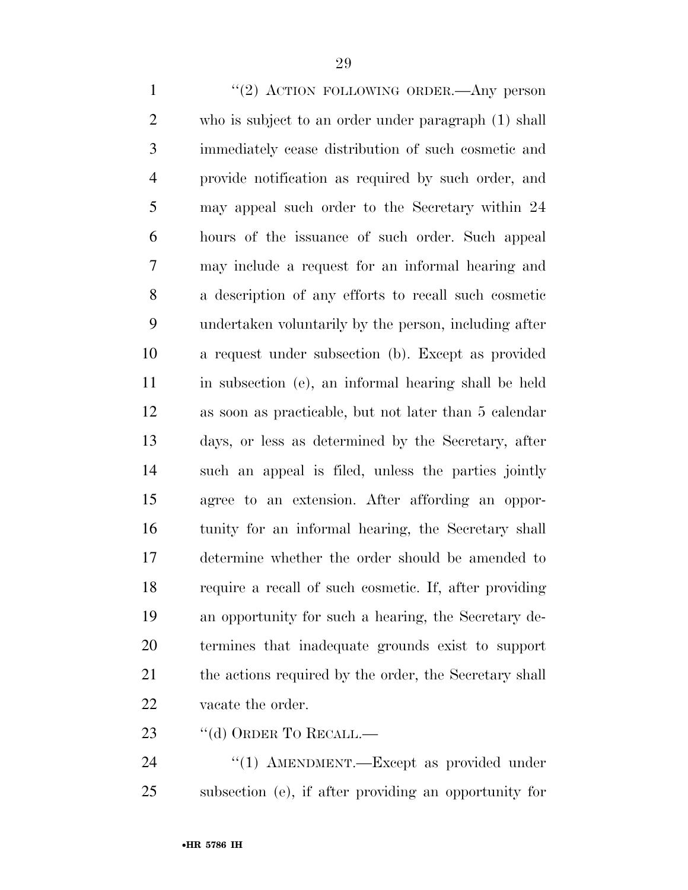| $\mathbf{1}$   | "(2) ACTION FOLLOWING ORDER.—Any person                |
|----------------|--------------------------------------------------------|
| $\overline{2}$ | who is subject to an order under paragraph (1) shall   |
| 3              | immediately cease distribution of such cosmetic and    |
| $\overline{4}$ | provide notification as required by such order, and    |
| 5              | may appeal such order to the Secretary within 24       |
| 6              | hours of the issuance of such order. Such appeal       |
| 7              | may include a request for an informal hearing and      |
| 8              | a description of any efforts to recall such cosmetic   |
| 9              | undertaken voluntarily by the person, including after  |
| 10             | a request under subsection (b). Except as provided     |
| 11             | in subsection (e), an informal hearing shall be held   |
| 12             | as soon as practicable, but not later than 5 calendar  |
| 13             | days, or less as determined by the Secretary, after    |
| 14             | such an appeal is filed, unless the parties jointly    |
| 15             | agree to an extension. After affording an oppor-       |
| 16             | tunity for an informal hearing, the Secretary shall    |
| 17             | determine whether the order should be amended to       |
| 18             | require a recall of such cosmetic. If, after providing |
| 19             | an opportunity for such a hearing, the Secretary de-   |
| 20             | termines that inadequate grounds exist to support      |
| 21             | the actions required by the order, the Secretary shall |
| 22             | vacate the order.                                      |
|                |                                                        |

23 ''(d) ORDER TO RECALL.—

24 ''(1) AMENDMENT.—Except as provided under subsection (e), if after providing an opportunity for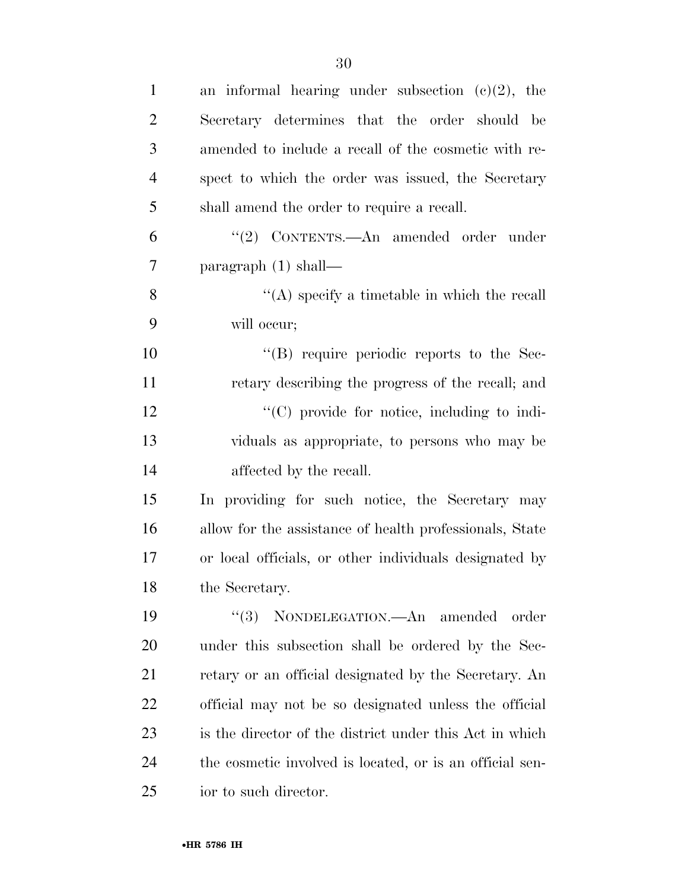| $\mathbf{1}$   | an informal hearing under subsection $(c)(2)$ , the      |
|----------------|----------------------------------------------------------|
| $\overline{2}$ | Secretary determines that the order should be            |
| 3              | amended to include a recall of the cosmetic with re-     |
| $\overline{4}$ | spect to which the order was issued, the Secretary       |
| 5              | shall amend the order to require a recall.               |
| 6              | "(2) CONTENTS.—An amended order under                    |
| 7              | paragraph $(1)$ shall—                                   |
| 8              | "(A) specify a timetable in which the recall             |
| 9              | will occur;                                              |
| 10             | $\lq\lq$ require periodic reports to the Sec-            |
| 11             | retary describing the progress of the recall; and        |
| 12             | $\lq\lq$ (C) provide for notice, including to indi-      |
| 13             | viduals as appropriate, to persons who may be            |
| 14             | affected by the recall.                                  |
| 15             | In providing for such notice, the Secretary may          |
| 16             | allow for the assistance of health professionals, State  |
| 17             | or local officials, or other individuals designated by   |
| 18             | the Secretary.                                           |
| 19             | NONDELEGATION. An amended<br>(3)<br>order                |
| 20             | under this subsection shall be ordered by the Sec-       |
| 21             | retary or an official designated by the Secretary. An    |
| 22             | official may not be so designated unless the official    |
| 23             | is the director of the district under this Act in which  |
| 24             | the cosmetic involved is located, or is an official sen- |
| 25             | ior to such director.                                    |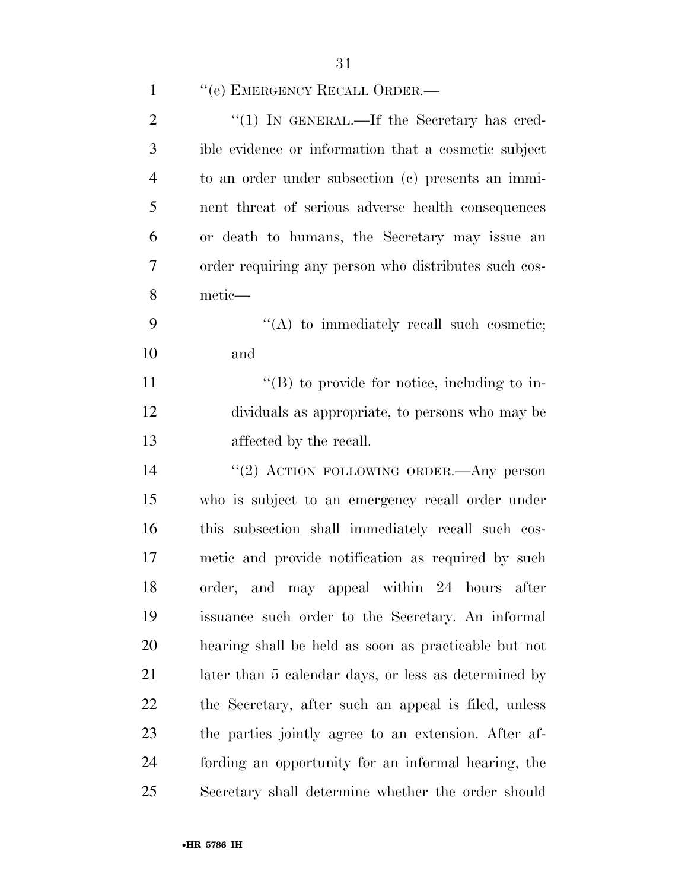| $\mathbf{1}$   | "(e) EMERGENCY RECALL ORDER.-                        |
|----------------|------------------------------------------------------|
| $\overline{2}$ | "(1) IN GENERAL.—If the Secretary has cred-          |
| 3              | ible evidence or information that a cosmetic subject |
| $\overline{4}$ | to an order under subsection (c) presents an immi-   |
| 5              | nent threat of serious adverse health consequences   |
| 6              | or death to humans, the Secretary may issue an       |
| $\overline{7}$ | order requiring any person who distributes such cos- |
| 8              | metic-                                               |
| 9              | "(A) to immediately recall such cosmetic;            |
| 10             | and                                                  |
| 11             | $\lq\lq (B)$ to provide for notice, including to in- |
| 12             | dividuals as appropriate, to persons who may be      |
| 13             | affected by the recall.                              |
| 14             | "(2) ACTION FOLLOWING ORDER.—Any person              |
| 15             | who is subject to an emergency recall order under    |
| 16             | this subsection shall immediately recall such cos-   |
| 17             | metic and provide notification as required by such   |
| 18             | order, and may appeal within 24 hours<br>after       |
| 19             | issuance such order to the Secretary. An informal    |
| 20             | hearing shall be held as soon as practicable but not |
| 21             | later than 5 calendar days, or less as determined by |
| 22             | the Secretary, after such an appeal is filed, unless |
| 23             | the parties jointly agree to an extension. After af- |
| 24             | fording an opportunity for an informal hearing, the  |
| 25             | Secretary shall determine whether the order should   |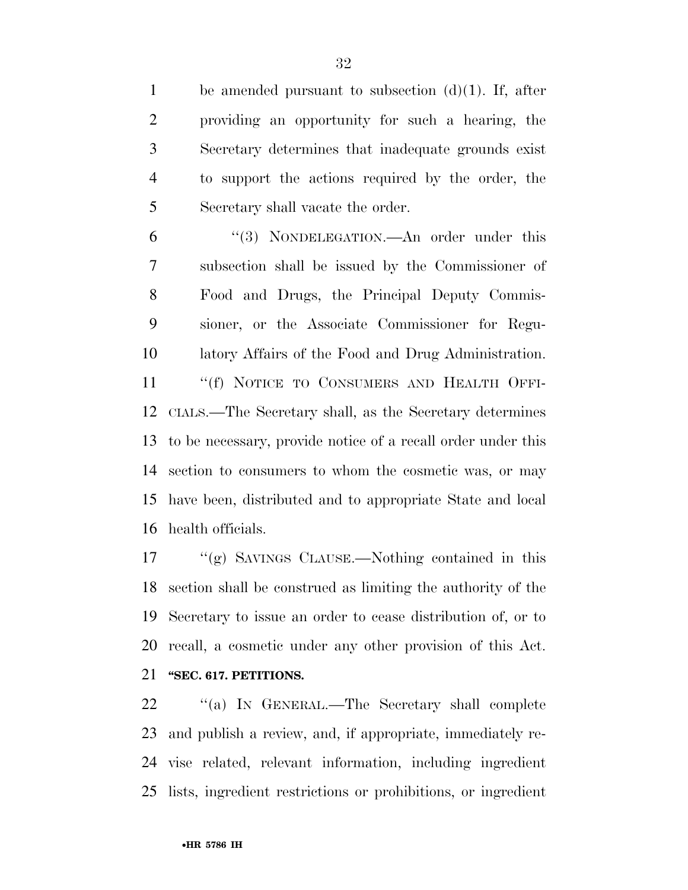1 be amended pursuant to subsection  $(d)(1)$ . If, after providing an opportunity for such a hearing, the Secretary determines that inadequate grounds exist to support the actions required by the order, the Secretary shall vacate the order.

 ''(3) NONDELEGATION.—An order under this subsection shall be issued by the Commissioner of Food and Drugs, the Principal Deputy Commis- sioner, or the Associate Commissioner for Regu- latory Affairs of the Food and Drug Administration. ''(f) NOTICE TO CONSUMERS AND HEALTH OFFI- CIALS.—The Secretary shall, as the Secretary determines to be necessary, provide notice of a recall order under this section to consumers to whom the cosmetic was, or may have been, distributed and to appropriate State and local health officials.

 ''(g) SAVINGS CLAUSE.—Nothing contained in this section shall be construed as limiting the authority of the Secretary to issue an order to cease distribution of, or to recall, a cosmetic under any other provision of this Act. **''SEC. 617. PETITIONS.** 

 ''(a) IN GENERAL.—The Secretary shall complete and publish a review, and, if appropriate, immediately re- vise related, relevant information, including ingredient lists, ingredient restrictions or prohibitions, or ingredient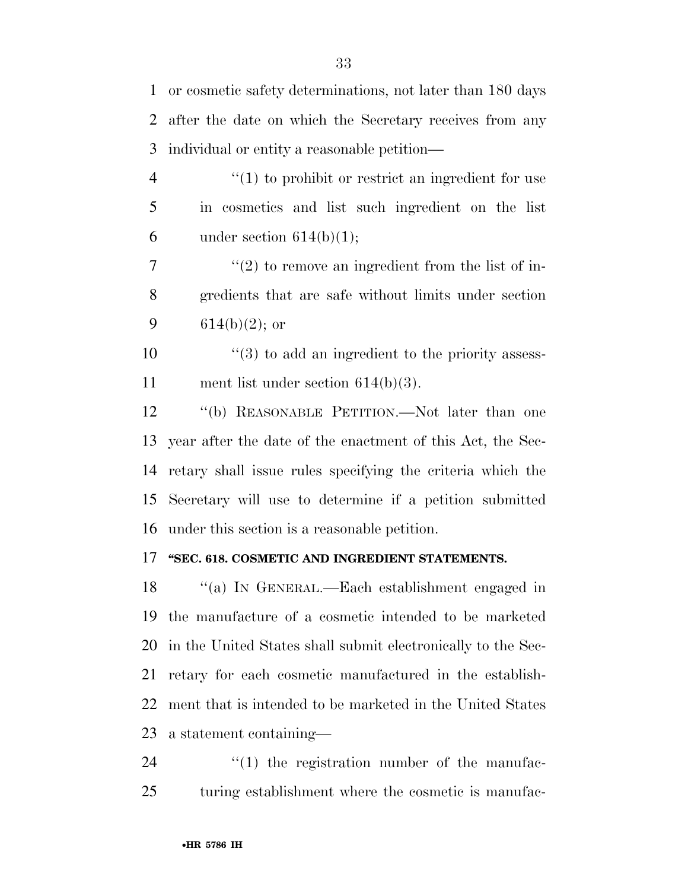or cosmetic safety determinations, not later than 180 days after the date on which the Secretary receives from any individual or entity a reasonable petition—

 $\frac{4}{1}$  ''(1) to prohibit or restrict an ingredient for use in cosmetics and list such ingredient on the list 6 under section  $614(b)(1)$ ;

 $7 \t$  (2) to remove an ingredient from the list of in- gredients that are safe without limits under section 9 614(b)(2); or

 $\frac{10}{20}$  ''(3) to add an ingredient to the priority assess-11 ment list under section 614(b)(3).

 ''(b) REASONABLE PETITION.—Not later than one year after the date of the enactment of this Act, the Sec- retary shall issue rules specifying the criteria which the Secretary will use to determine if a petition submitted under this section is a reasonable petition.

#### **''SEC. 618. COSMETIC AND INGREDIENT STATEMENTS.**

 ''(a) IN GENERAL.—Each establishment engaged in the manufacture of a cosmetic intended to be marketed in the United States shall submit electronically to the Sec- retary for each cosmetic manufactured in the establish- ment that is intended to be marketed in the United States a statement containing—

  $\qquad$   $\qquad$   $\qquad$   $\qquad$   $\qquad$   $\qquad$   $\qquad$   $\qquad$   $\qquad$   $\qquad$   $\qquad$   $\qquad$   $\qquad$   $\qquad$   $\qquad$   $\qquad$   $\qquad$   $\qquad$   $\qquad$   $\qquad$   $\qquad$   $\qquad$   $\qquad$   $\qquad$   $\qquad$   $\qquad$   $\qquad$   $\qquad$   $\qquad$   $\qquad$   $\qquad$   $\qquad$   $\qquad$   $\qquad$   $\qquad$   $\qquad$  turing establishment where the cosmetic is manufac-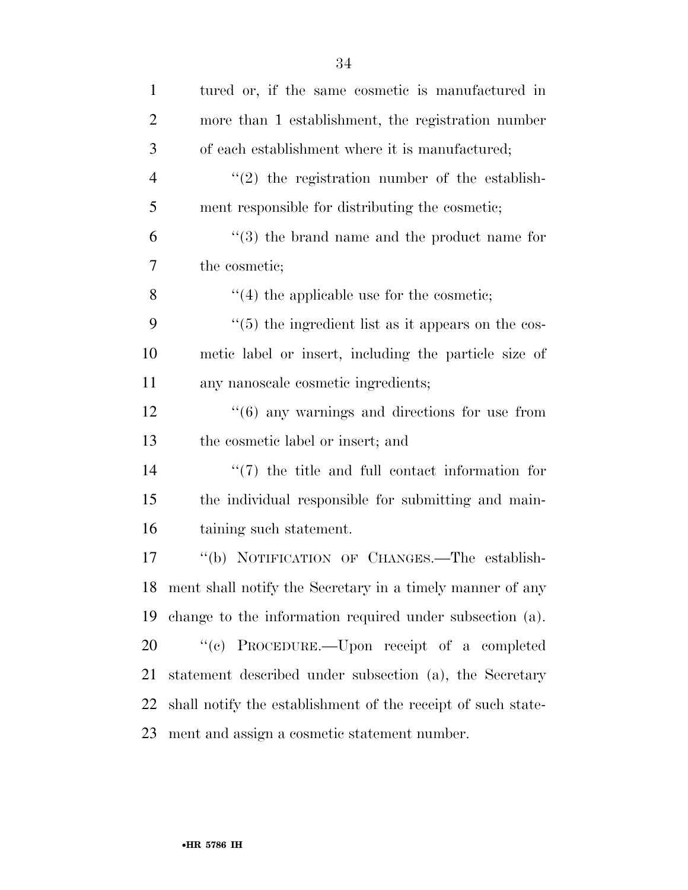| $\mathbf{1}$   | tured or, if the same cosmetic is manufactured in              |
|----------------|----------------------------------------------------------------|
| $\overline{2}$ | more than 1 establishment, the registration number             |
| 3              | of each establishment where it is manufactured;                |
| $\overline{4}$ | $(2)$ the registration number of the establish-                |
| 5              | ment responsible for distributing the cosmetic;                |
| 6              | $\cdot$ (3) the brand name and the product name for            |
| 7              | the cosmetic;                                                  |
| 8              | $\cdot$ (4) the applicable use for the cosmetic;               |
| 9              | $\cdot\cdot$ (5) the ingredient list as it appears on the cos- |
| 10             | metic label or insert, including the particle size of          |
| 11             | any nanoscale cosmetic ingredients;                            |
| 12             | $\cdot\cdot$ (6) any warnings and directions for use from      |
| 13             | the cosmetic label or insert; and                              |
| 14             | $\lq(7)$ the title and full contact information for            |
| 15             | the individual responsible for submitting and main-            |
| 16             | taining such statement.                                        |
| 17             | "(b) NOTIFICATION OF CHANGES.—The establish-                   |
| 18             | ment shall notify the Secretary in a timely manner of any      |
| 19             | change to the information required under subsection (a).       |
| 20             | "(c) PROCEDURE.—Upon receipt of a completed                    |
| 21             | statement described under subsection (a), the Secretary        |
| 22             | shall notify the establishment of the receipt of such state-   |
| 23             | ment and assign a cosmetic statement number.                   |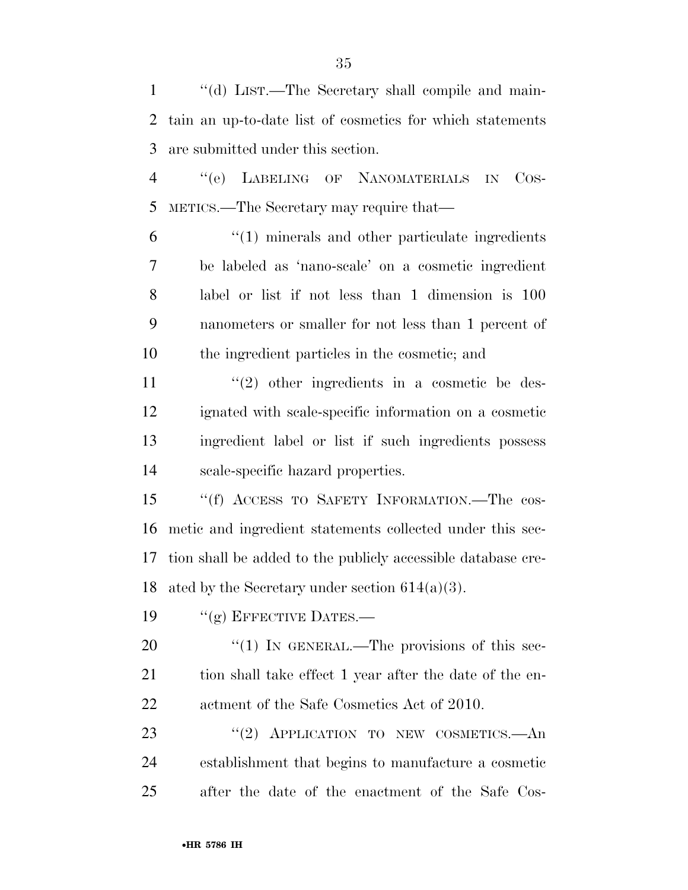''(d) LIST.—The Secretary shall compile and main- tain an up-to-date list of cosmetics for which statements are submitted under this section.

 ''(e) LABELING OF NANOMATERIALS IN COS-METICS.—The Secretary may require that—

 ''(1) minerals and other particulate ingredients be labeled as 'nano-scale' on a cosmetic ingredient label or list if not less than 1 dimension is 100 nanometers or smaller for not less than 1 percent of the ingredient particles in the cosmetic; and

 $\frac{1}{2}$  other ingredients in a cosmetic be des- ignated with scale-specific information on a cosmetic ingredient label or list if such ingredients possess scale-specific hazard properties.

 ''(f) ACCESS TO SAFETY INFORMATION.—The cos- metic and ingredient statements collected under this sec- tion shall be added to the publicly accessible database cre-18 ated by the Secretary under section  $614(a)(3)$ .

19 "(g) EFFECTIVE DATES.—

20  $\frac{1}{20}$  In GENERAL.—The provisions of this sec-21 tion shall take effect 1 year after the date of the en-actment of the Safe Cosmetics Act of 2010.

23 "(2) APPLICATION TO NEW COSMETICS.—An establishment that begins to manufacture a cosmetic after the date of the enactment of the Safe Cos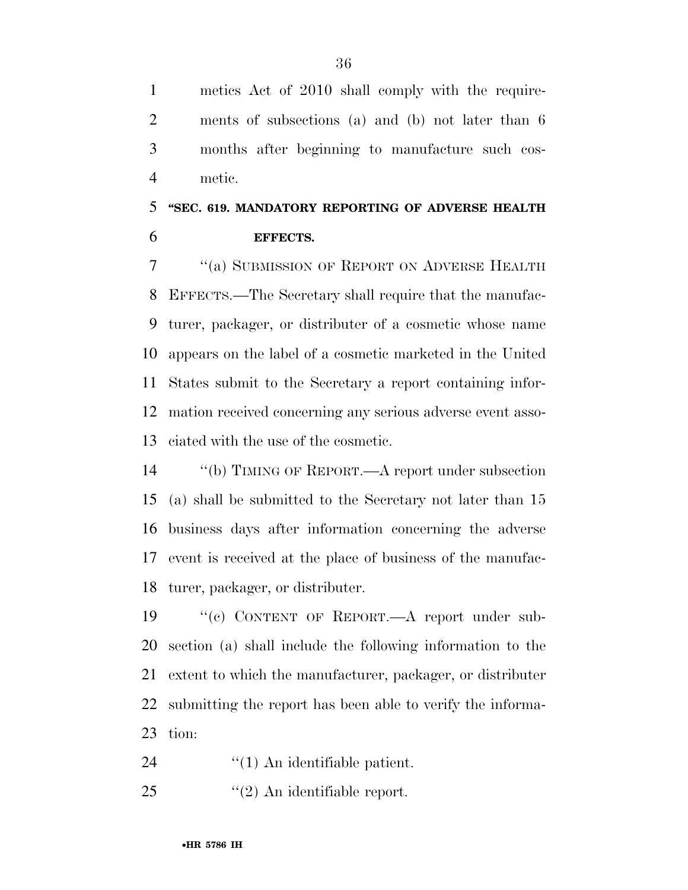metics Act of 2010 shall comply with the require- ments of subsections (a) and (b) not later than 6 months after beginning to manufacture such cos-metic.

### **''SEC. 619. MANDATORY REPORTING OF ADVERSE HEALTH EFFECTS.**

 ''(a) SUBMISSION OF REPORT ON ADVERSE HEALTH EFFECTS.—The Secretary shall require that the manufac- turer, packager, or distributer of a cosmetic whose name appears on the label of a cosmetic marketed in the United States submit to the Secretary a report containing infor- mation received concerning any serious adverse event asso-ciated with the use of the cosmetic.

 ''(b) TIMING OF REPORT.—A report under subsection (a) shall be submitted to the Secretary not later than 15 business days after information concerning the adverse event is received at the place of business of the manufac-turer, packager, or distributer.

 ''(c) CONTENT OF REPORT.—A report under sub- section (a) shall include the following information to the extent to which the manufacturer, packager, or distributer submitting the report has been able to verify the informa-tion:

24  $\frac{1}{2}$  (1) An identifiable patient.

''(2) An identifiable report.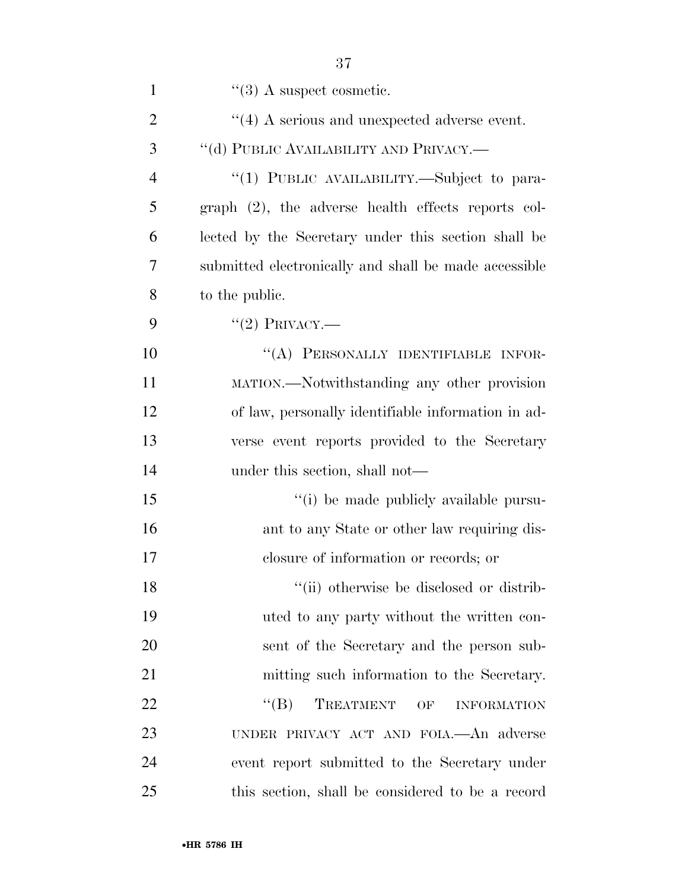| $\mathbf{1}$   | $\lq(3)$ A suspect cosmetic.                          |
|----------------|-------------------------------------------------------|
| $\overline{2}$ | $\cdot$ (4) A serious and unexpected adverse event.   |
| 3              | "(d) PUBLIC AVAILABILITY AND PRIVACY.-                |
| $\overline{4}$ | "(1) PUBLIC AVAILABILITY.—Subject to para-            |
| 5              | graph $(2)$ , the adverse health effects reports col- |
| 6              | lected by the Secretary under this section shall be   |
| 7              | submitted electronically and shall be made accessible |
| 8              | to the public.                                        |
| 9              | $``(2)$ PRIVACY.—                                     |
| 10             | "(A) PERSONALLY IDENTIFIABLE INFOR-                   |
| 11             | MATION.—Notwithstanding any other provision           |
| 12             | of law, personally identifiable information in ad-    |
| 13             | verse event reports provided to the Secretary         |
| 14             | under this section, shall not—                        |
| 15             | "(i) be made publicly available pursu-                |
| 16             | ant to any State or other law requiring dis-          |
| 17             | closure of information or records; or                 |
| 18             | "(ii) otherwise be disclosed or distrib-              |
| 19             | uted to any party without the written con-            |
| 20             | sent of the Secretary and the person sub-             |
| 21             | mitting such information to the Secretary.            |
| 22             | $\lq\lq (B)$<br>TREATMENT<br>OF<br><b>INFORMATION</b> |
| 23             | UNDER PRIVACY ACT AND FOIA.—An adverse                |
| 24             | event report submitted to the Secretary under         |
| 25             | this section, shall be considered to be a record      |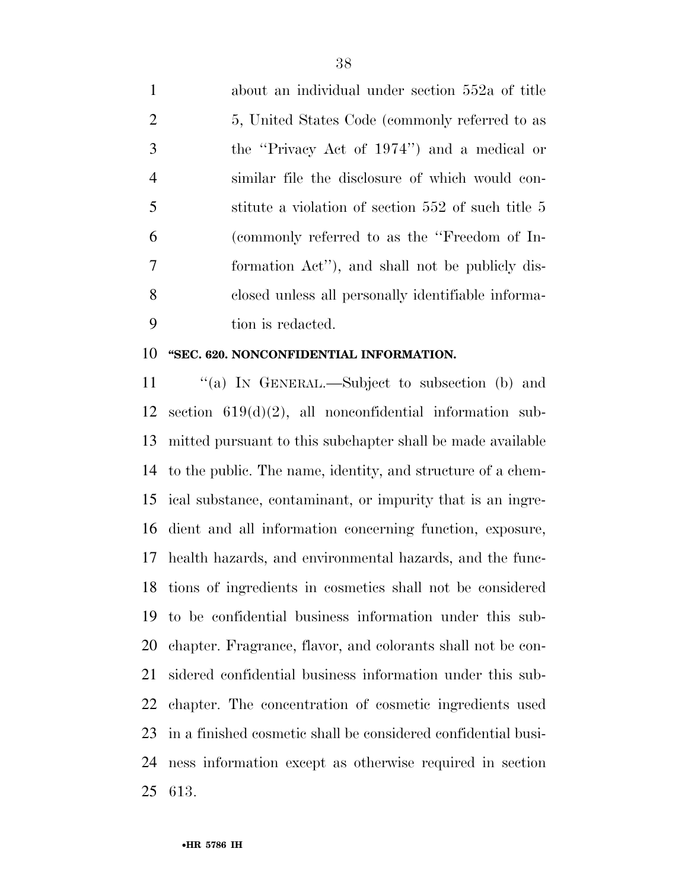about an individual under section 552a of title 2 5, United States Code (commonly referred to as the ''Privacy Act of 1974'') and a medical or similar file the disclosure of which would con- stitute a violation of section 552 of such title 5 (commonly referred to as the ''Freedom of In- formation Act''), and shall not be publicly dis- closed unless all personally identifiable informa-tion is redacted.

#### **''SEC. 620. NONCONFIDENTIAL INFORMATION.**

 ''(a) IN GENERAL.—Subject to subsection (b) and section 619(d)(2), all nonconfidential information sub- mitted pursuant to this subchapter shall be made available to the public. The name, identity, and structure of a chem- ical substance, contaminant, or impurity that is an ingre- dient and all information concerning function, exposure, health hazards, and environmental hazards, and the func- tions of ingredients in cosmetics shall not be considered to be confidential business information under this sub- chapter. Fragrance, flavor, and colorants shall not be con- sidered confidential business information under this sub- chapter. The concentration of cosmetic ingredients used in a finished cosmetic shall be considered confidential busi- ness information except as otherwise required in section 613.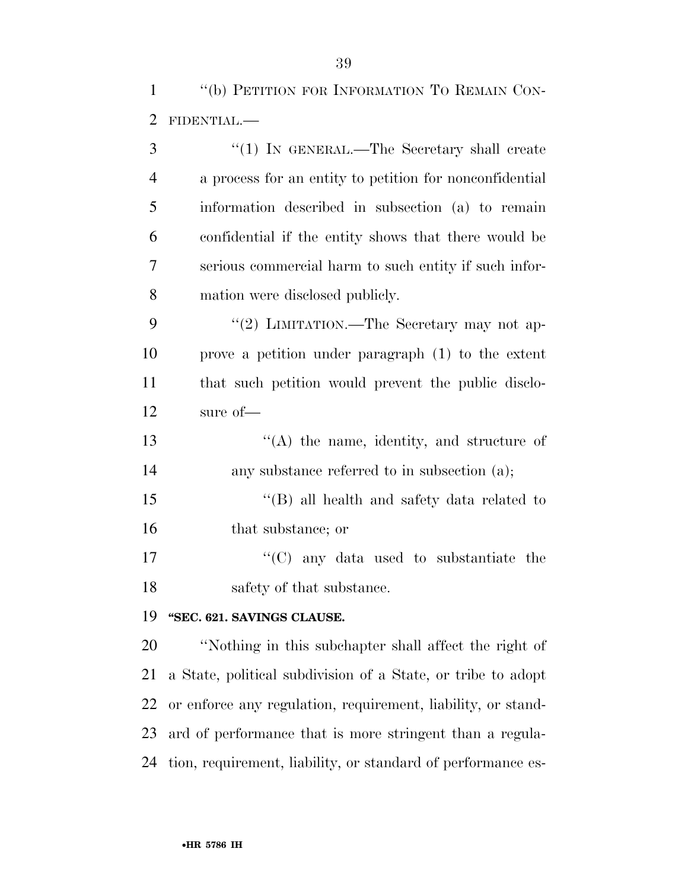''(b) PETITION FOR INFORMATION TO REMAIN CON-FIDENTIAL.—

| 3              | "(1) IN GENERAL.—The Secretary shall create                  |
|----------------|--------------------------------------------------------------|
| $\overline{4}$ | a process for an entity to petition for nonconfidential      |
| 5              | information described in subsection (a) to remain            |
| 6              | confidential if the entity shows that there would be         |
| 7              | serious commercial harm to such entity if such infor-        |
| 8              | mation were disclosed publicly.                              |
| 9              | "(2) LIMITATION.—The Secretary may not ap-                   |
| 10             | prove a petition under paragraph (1) to the extent           |
| 11             | that such petition would prevent the public disclo-          |
| 12             | sure of—                                                     |
| 13             | "(A) the name, identity, and structure of                    |
| 14             | any substance referred to in subsection (a);                 |
| 15             | $\lq\lq$ (B) all health and safety data related to           |
| 16             | that substance; or                                           |
| 17             | $\lq\lq$ (C) any data used to substantiate the               |
| 18             | safety of that substance.                                    |
| 19             | "SEC. 621. SAVINGS CLAUSE.                                   |
| 20             | "Nothing in this subchapter shall affect the right of        |
| 21             | a State, political subdivision of a State, or tribe to adopt |
| 22             | or enforce any regulation, requirement, liability, or stand- |
|                |                                                              |

tion, requirement, liability, or standard of performance es-

ard of performance that is more stringent than a regula-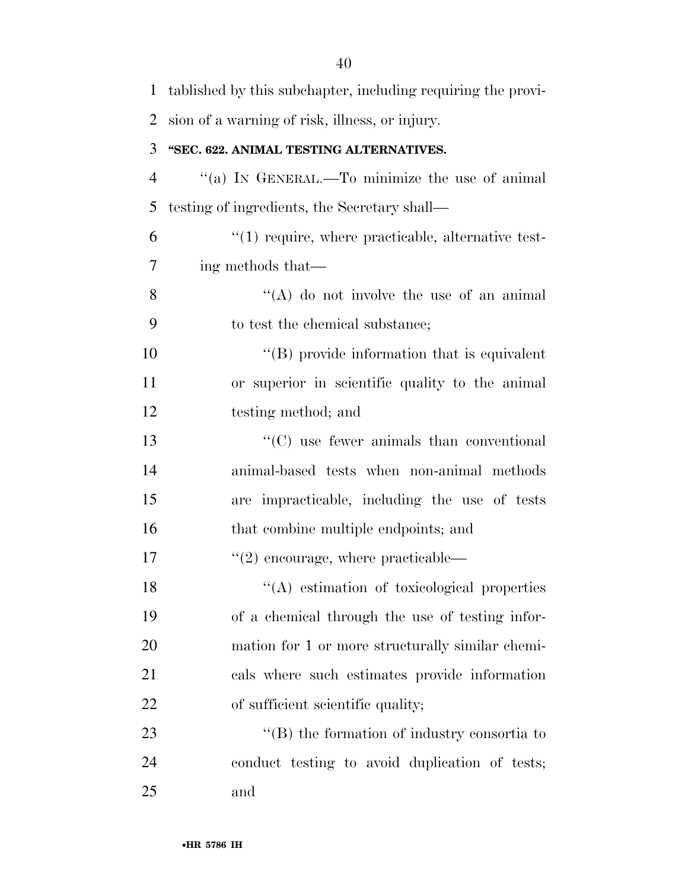| $\mathbf{1}$   | tablished by this subchapter, including requiring the provi- |
|----------------|--------------------------------------------------------------|
| $\overline{2}$ | sion of a warning of risk, illness, or injury.               |
| 3              | "SEC. 622. ANIMAL TESTING ALTERNATIVES.                      |
| $\overline{4}$ | "(a) IN GENERAL.—To minimize the use of animal               |
| 5              | testing of ingredients, the Secretary shall—                 |
| 6              | $"(1)$ require, where practicable, alternative test-         |
| 7              | ing methods that—                                            |
| 8              | "(A) do not involve the use of an animal                     |
| 9              | to test the chemical substance;                              |
| 10             | $\lq\lq$ provide information that is equivalent              |
| 11             | or superior in scientific quality to the animal              |
| 12             | testing method; and                                          |
| 13             | $\cdot$ (C) use fewer animals than conventional              |
| 14             | animal-based tests when non-animal methods                   |
| 15             | are impracticable, including the use of tests                |
| 16             | that combine multiple endpoints; and                         |
| 17             | $\lq(2)$ encourage, where practicable—                       |
| 18             | $\lq\lq$ estimation of toxicological properties              |
| 19             | of a chemical through the use of testing infor-              |
| 20             | mation for 1 or more structurally similar chemi-             |
| 21             | cals where such estimates provide information                |
| 22             | of sufficient scientific quality;                            |
| 23             | $\lq\lq$ the formation of industry consortia to              |
| 24             | conduct testing to avoid duplication of tests;               |
| 25             | and                                                          |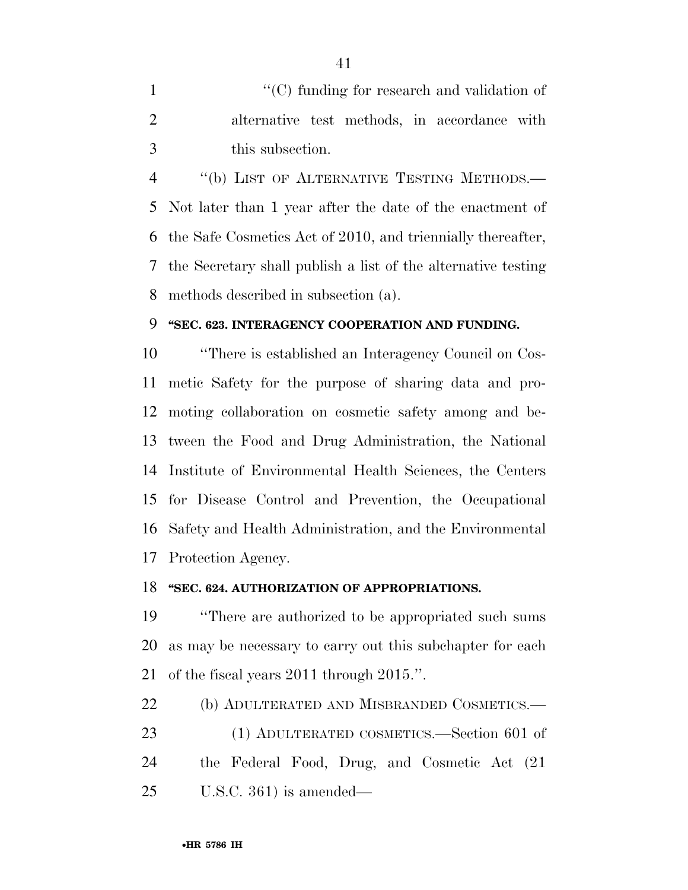1  $\cdot$  (C) funding for research and validation of alternative test methods, in accordance with this subsection.

4 "(b) LIST OF ALTERNATIVE TESTING METHODS.— Not later than 1 year after the date of the enactment of the Safe Cosmetics Act of 2010, and triennially thereafter, the Secretary shall publish a list of the alternative testing methods described in subsection (a).

#### **''SEC. 623. INTERAGENCY COOPERATION AND FUNDING.**

 ''There is established an Interagency Council on Cos- metic Safety for the purpose of sharing data and pro- moting collaboration on cosmetic safety among and be- tween the Food and Drug Administration, the National Institute of Environmental Health Sciences, the Centers for Disease Control and Prevention, the Occupational Safety and Health Administration, and the Environmental Protection Agency.

#### **''SEC. 624. AUTHORIZATION OF APPROPRIATIONS.**

 ''There are authorized to be appropriated such sums as may be necessary to carry out this subchapter for each of the fiscal years 2011 through 2015.''.

22 (b) ADULTERATED AND MISBRANDED COSMETICS.—

 (1) ADULTERATED COSMETICS.—Section 601 of the Federal Food, Drug, and Cosmetic Act (21 U.S.C. 361) is amended—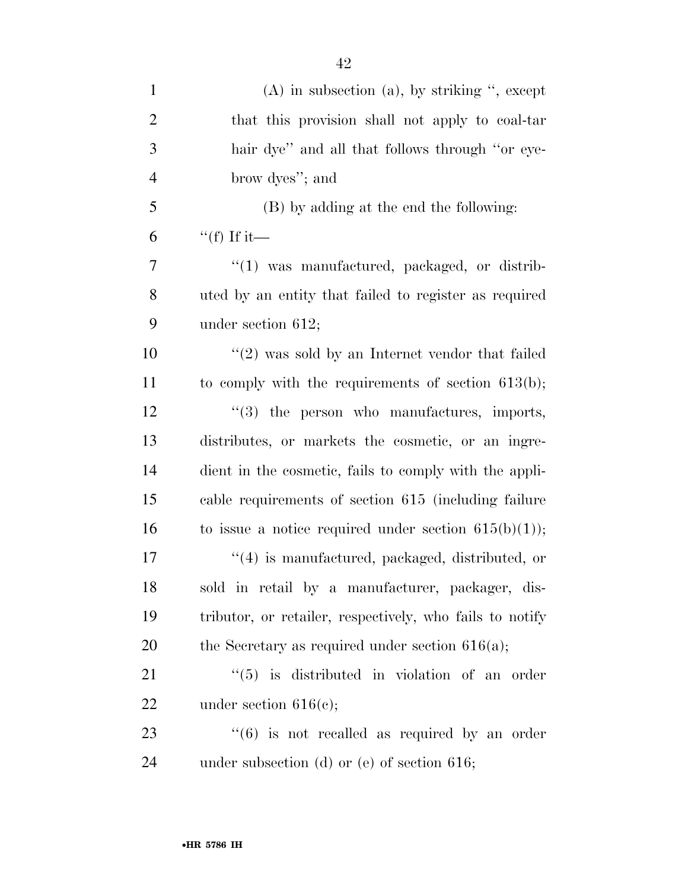| $\mathbf{1}$   | $(A)$ in subsection $(a)$ , by striking ", except            |
|----------------|--------------------------------------------------------------|
| $\overline{2}$ | that this provision shall not apply to coal-tar              |
| 3              | hair dye" and all that follows through "or eye-              |
| $\overline{4}$ | brow dyes"; and                                              |
| 5              | (B) by adding at the end the following:                      |
| 6              | $``(f)$ If it—                                               |
| 7              | $\lq(1)$ was manufactured, packaged, or distrib-             |
| 8              | uted by an entity that failed to register as required        |
| 9              | under section $612$ ;                                        |
| 10             | $\lq(2)$ was sold by an Internet vendor that failed          |
| 11             | to comply with the requirements of section $613(b)$ ;        |
| 12             | "(3) the person who manufactures, imports,                   |
| 13             | distributes, or markets the cosmetic, or an ingre-           |
| 14             | dient in the cosmetic, fails to comply with the appli-       |
| 15             | cable requirements of section 615 (including failure         |
| 16             | to issue a notice required under section $615(b)(1)$ ;       |
| 17             | $\lq(4)$ is manufactured, packaged, distributed, or          |
| 18             | sold in retail by a manufacturer, packager, dis-             |
| 19             | tributor, or retailer, respectively, who fails to notify     |
| <b>20</b>      | the Secretary as required under section $616(a)$ ;           |
| 21             | $(5)$ is distributed in violation of an order                |
| <u>22</u>      | under section $616(c)$ ;                                     |
| 23             | $\cdot\cdot\cdot(6)$ is not recalled as required by an order |
| 24             | under subsection (d) or (e) of section 616;                  |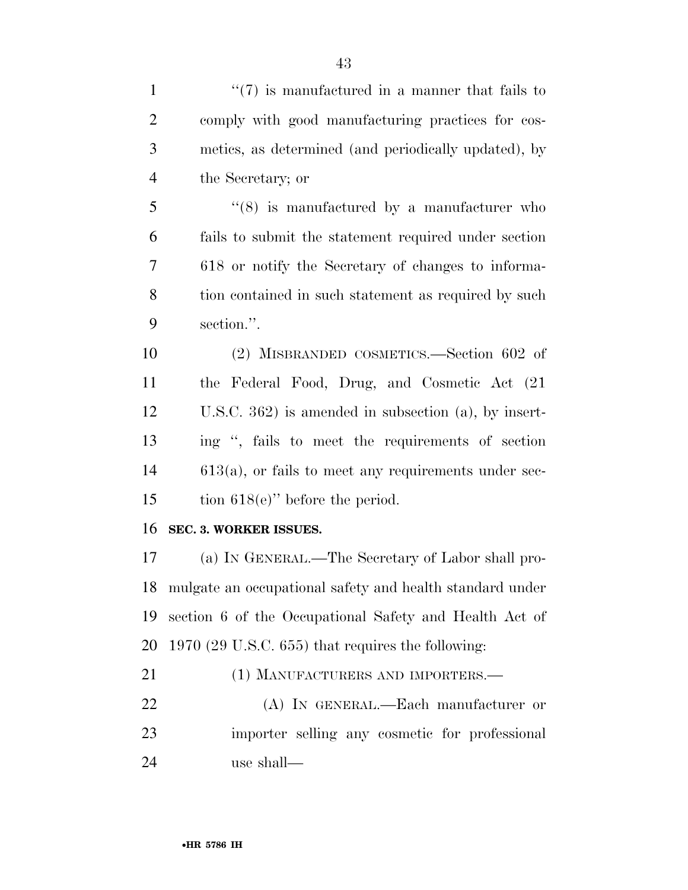| $\mathbf{1}$   | $\lq(7)$ is manufactured in a manner that fails to       |
|----------------|----------------------------------------------------------|
| $\overline{2}$ | comply with good manufacturing practices for cos-        |
| 3              | metics, as determined (and periodically updated), by     |
| $\overline{4}$ | the Secretary; or                                        |
| 5              | $\cdot$ (8) is manufactured by a manufacturer who        |
| 6              | fails to submit the statement required under section     |
| 7              | 618 or notify the Secretary of changes to informa-       |
| 8              | tion contained in such statement as required by such     |
| 9              | section.".                                               |
| 10             | (2) MISBRANDED COSMETICS.—Section 602 of                 |
| 11             | the Federal Food, Drug, and Cosmetic Act (21)            |
| 12             | U.S.C. $362$ ) is amended in subsection (a), by insert-  |
| 13             | ing ", fails to meet the requirements of section         |
| 14             | $613(a)$ , or fails to meet any requirements under sec-  |
| 15             | tion $618(e)$ " before the period.                       |
| 16             | SEC. 3. WORKER ISSUES.                                   |
| 17             | (a) IN GENERAL.—The Secretary of Labor shall pro-        |
| 18             | mulgate an occupational safety and health standard under |
| 19             | section 6 of the Occupational Safety and Health Act of   |
| 20             | $1970$ (29 U.S.C. 655) that requires the following:      |
| 21             | (1) MANUFACTURERS AND IMPORTERS.—                        |
| 22             | (A) IN GENERAL.—Each manufacturer or                     |
| 23             | importer selling any cosmetic for professional           |
| 24             | use shall—                                               |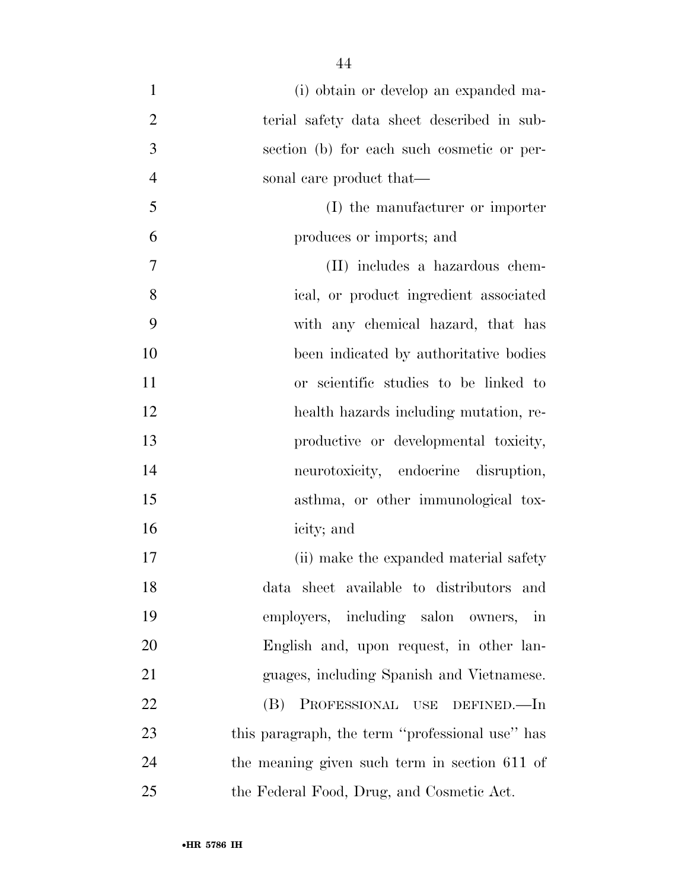- (i) obtain or develop an expanded ma-2 terial safety data sheet described in sub- section (b) for each such cosmetic or per- sonal care product that— (I) the manufacturer or importer produces or imports; and (II) includes a hazardous chem- ical, or product ingredient associated with any chemical hazard, that has been indicated by authoritative bodies or scientific studies to be linked to health hazards including mutation, re- productive or developmental toxicity, neurotoxicity, endocrine disruption, asthma, or other immunological tox- icity; and 17 (ii) make the expanded material safety data sheet available to distributors and employers, including salon owners, in English and, upon request, in other lan- guages, including Spanish and Vietnamese. (B) PROFESSIONAL USE DEFINED.—In this paragraph, the term ''professional use'' has
- the Federal Food, Drug, and Cosmetic Act.

the meaning given such term in section 611 of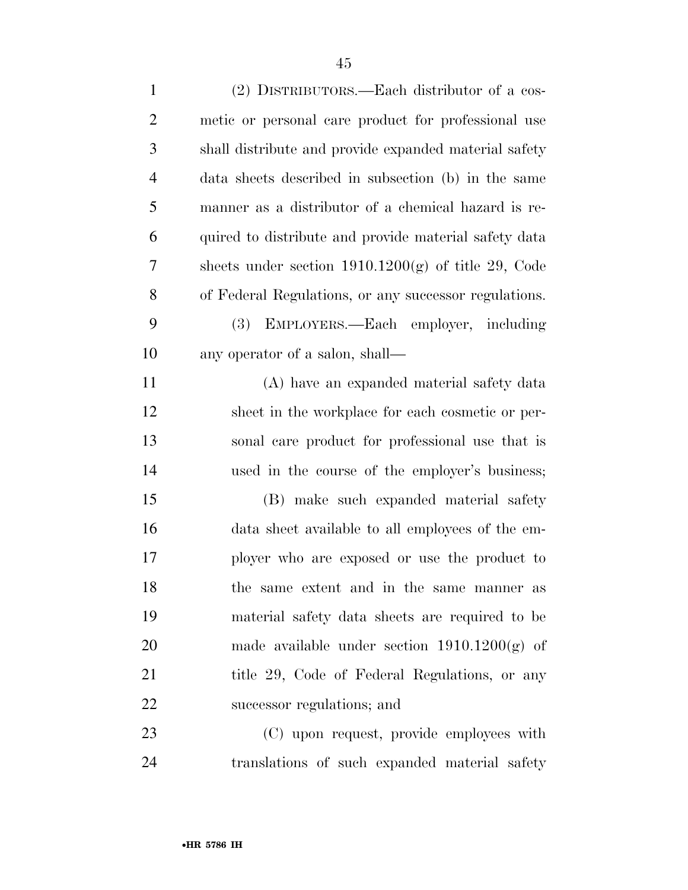| $\mathbf{1}$   | (2) DISTRIBUTORS.—Each distributor of a cos-          |
|----------------|-------------------------------------------------------|
| $\overline{2}$ | metic or personal care product for professional use   |
| 3              | shall distribute and provide expanded material safety |
| $\overline{4}$ | data sheets described in subsection (b) in the same   |
| 5              | manner as a distributor of a chemical hazard is re-   |
| 6              | quired to distribute and provide material safety data |
| 7              | sheets under section $1910.1200(g)$ of title 29, Code |
| 8              | of Federal Regulations, or any successor regulations. |
| 9              | (3)<br>EMPLOYERS.—Each employer, including            |
| 10             | any operator of a salon, shall—                       |
| 11             | (A) have an expanded material safety data             |
| 12             | sheet in the workplace for each cosmetic or per-      |
| 13             | sonal care product for professional use that is       |
| 14             | used in the course of the employer's business;        |
| 15             | (B) make such expanded material safety                |
| 16             | data sheet available to all employees of the em-      |
| 17             | ployer who are exposed or use the product to          |
| 18             | the same extent and in the same manner as             |
| 19             | material safety data sheets are required to be        |
| 20             | made available under section $1910.1200(g)$ of        |
| 21             | title 29, Code of Federal Regulations, or any         |
| 22             | successor regulations; and                            |
| 23             | (C) upon request, provide employees with              |
| 24             | translations of such expanded material safety         |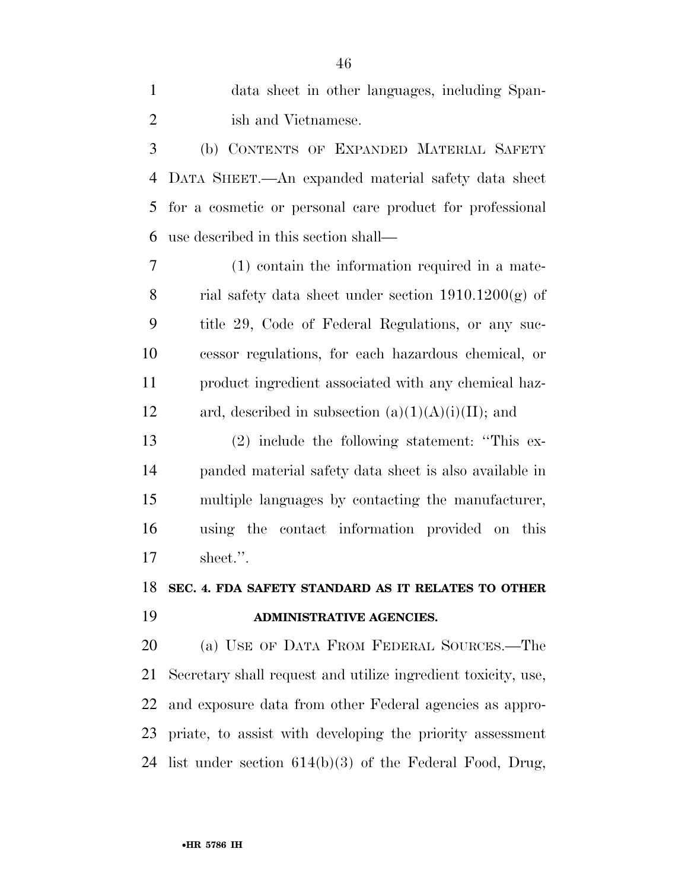data sheet in other languages, including Span-ish and Vietnamese.

 (b) CONTENTS OF EXPANDED MATERIAL SAFETY DATA SHEET.—An expanded material safety data sheet for a cosmetic or personal care product for professional use described in this section shall—

 (1) contain the information required in a mate-8 rial safety data sheet under section  $1910.1200(g)$  of title 29, Code of Federal Regulations, or any suc- cessor regulations, for each hazardous chemical, or product ingredient associated with any chemical haz-12 ard, described in subsection  $(a)(1)(A)(i)(II)$ ; and

 (2) include the following statement: ''This ex- panded material safety data sheet is also available in multiple languages by contacting the manufacturer, using the contact information provided on this sheet.''.

## **SEC. 4. FDA SAFETY STANDARD AS IT RELATES TO OTHER ADMINISTRATIVE AGENCIES.**

 (a) USE OF DATA FROM FEDERAL SOURCES.—The Secretary shall request and utilize ingredient toxicity, use, and exposure data from other Federal agencies as appro- priate, to assist with developing the priority assessment list under section 614(b)(3) of the Federal Food, Drug,